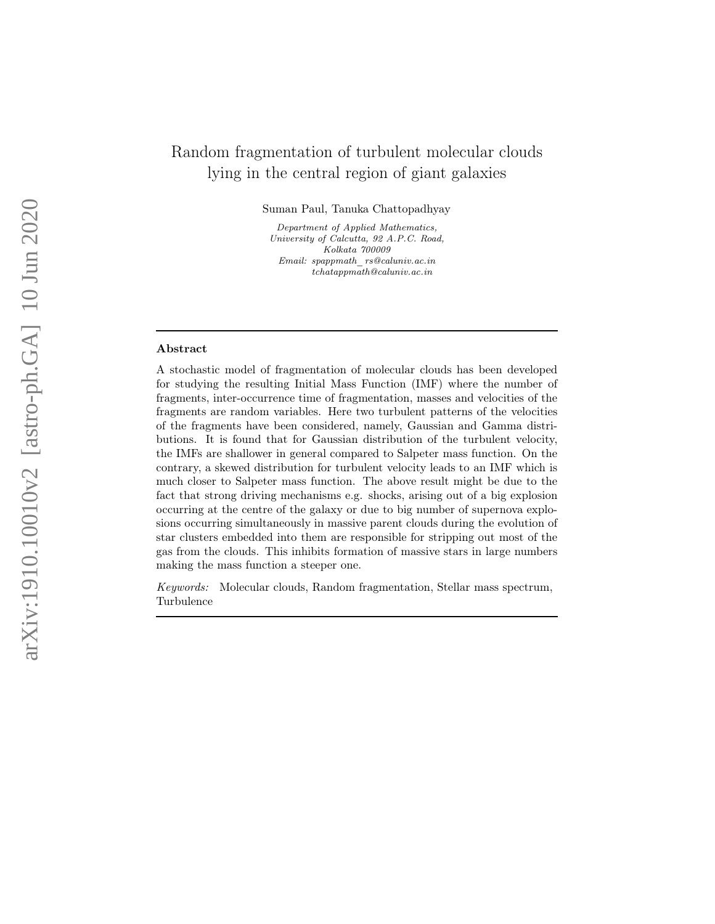# Random fragmentation of turbulent molecular clouds lying in the central region of giant galaxies

Suman Paul, Tanuka Chattopadhyay

*Department of Applied Mathematics, University of Calcutta, 92 A.P.C. Road, Kolkata 700009 Email: spappmath\_rs@caluniv.ac.in tchatappmath@caluniv.ac.in*

#### Abstract

A stochastic model of fragmentation of molecular clouds has been developed for studying the resulting Initial Mass Function (IMF) where the number of fragments, inter-occurrence time of fragmentation, masses and velocities of the fragments are random variables. Here two turbulent patterns of the velocities of the fragments have been considered, namely, Gaussian and Gamma distributions. It is found that for Gaussian distribution of the turbulent velocity, the IMFs are shallower in general compared to Salpeter mass function. On the contrary, a skewed distribution for turbulent velocity leads to an IMF which is much closer to Salpeter mass function. The above result might be due to the fact that strong driving mechanisms e.g. shocks, arising out of a big explosion occurring at the centre of the galaxy or due to big number of supernova explosions occurring simultaneously in massive parent clouds during the evolution of star clusters embedded into them are responsible for stripping out most of the gas from the clouds. This inhibits formation of massive stars in large numbers making the mass function a steeper one.

Keywords: Molecular clouds, Random fragmentation, Stellar mass spectrum, Turbulence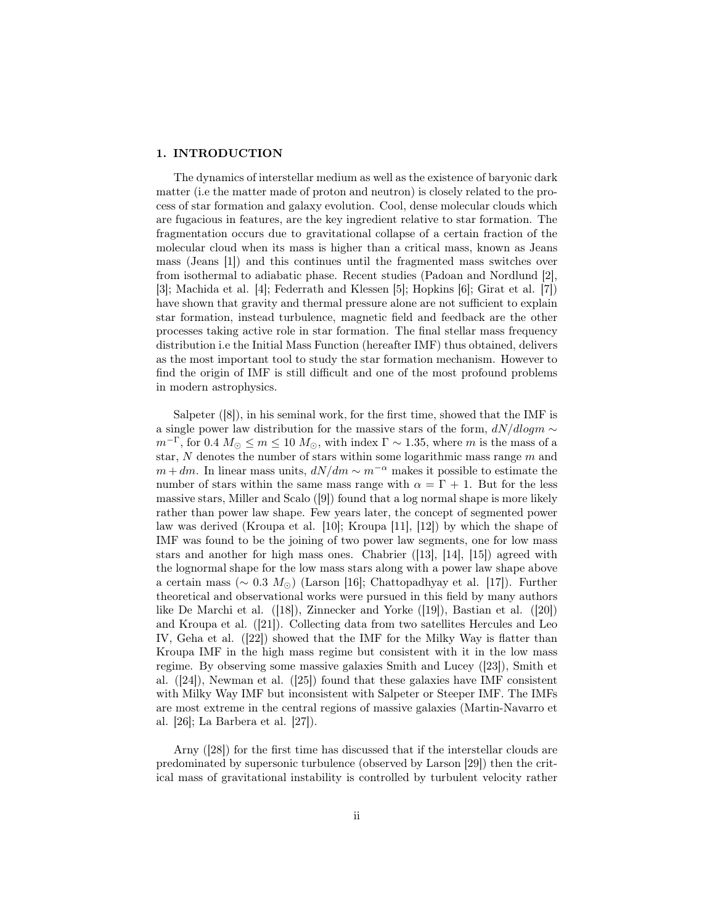### 1. INTRODUCTION

The dynamics of interstellar medium as well as the existence of baryonic dark matter (i.e the matter made of proton and neutron) is closely related to the process of star formation and galaxy evolution. Cool, dense molecular clouds which are fugacious in features, are the key ingredient relative to star formation. The fragmentation occurs due to gravitational collapse of a certain fraction of the molecular cloud when its mass is higher than a critical mass, known as Jeans mass (Jeans [1]) and this continues until the fragmented mass switches over from isothermal to adiabatic phase. Recent studies (Padoan and Nordlund [2], [3]; Machida et al. [4]; Federrath and Klessen [5]; Hopkins [6]; Girat et al. [7]) have shown that gravity and thermal pressure alone are not sufficient to explain star formation, instead turbulence, magnetic field and feedback are the other processes taking active role in star formation. The final stellar mass frequency distribution i.e the Initial Mass Function (hereafter IMF) thus obtained, delivers as the most important tool to study the star formation mechanism. However to find the origin of IMF is still difficult and one of the most profound problems in modern astrophysics.

Salpeter  $([8])$ , in his seminal work, for the first time, showed that the IMF is a single power law distribution for the massive stars of the form,  $dN/dlogm$  ∼  $m^{-\Gamma}$ , for 0.4  $M_{\odot} \leq m \leq 10$   $M_{\odot}$ , with index  $\Gamma \sim 1.35$ , where m is the mass of a star,  $N$  denotes the number of stars within some logarithmic mass range  $m$  and  $m + dm$ . In linear mass units,  $dN/dm \sim m^{-\alpha}$  makes it possible to estimate the number of stars within the same mass range with  $\alpha = \Gamma + 1$ . But for the less massive stars, Miller and Scalo ([9]) found that a log normal shape is more likely rather than power law shape. Few years later, the concept of segmented power law was derived (Kroupa et al. [10]; Kroupa [11], [12]) by which the shape of IMF was found to be the joining of two power law segments, one for low mass stars and another for high mass ones. Chabrier ([13], [14], [15]) agreed with the lognormal shape for the low mass stars along with a power law shape above a certain mass ( $\sim 0.3$  M<sub>☉</sub>) (Larson [16]; Chattopadhyay et al. [17]). Further theoretical and observational works were pursued in this field by many authors like De Marchi et al. ([18]), Zinnecker and Yorke ([19]), Bastian et al. ([20]) and Kroupa et al. ([21]). Collecting data from two satellites Hercules and Leo IV, Geha et al. ([22]) showed that the IMF for the Milky Way is flatter than Kroupa IMF in the high mass regime but consistent with it in the low mass regime. By observing some massive galaxies Smith and Lucey ([23]), Smith et al. ([24]), Newman et al. ([25]) found that these galaxies have IMF consistent with Milky Way IMF but inconsistent with Salpeter or Steeper IMF. The IMFs are most extreme in the central regions of massive galaxies (Martin-Navarro et al. [26]; La Barbera et al. [27]).

Arny ([28]) for the first time has discussed that if the interstellar clouds are predominated by supersonic turbulence (observed by Larson [29]) then the critical mass of gravitational instability is controlled by turbulent velocity rather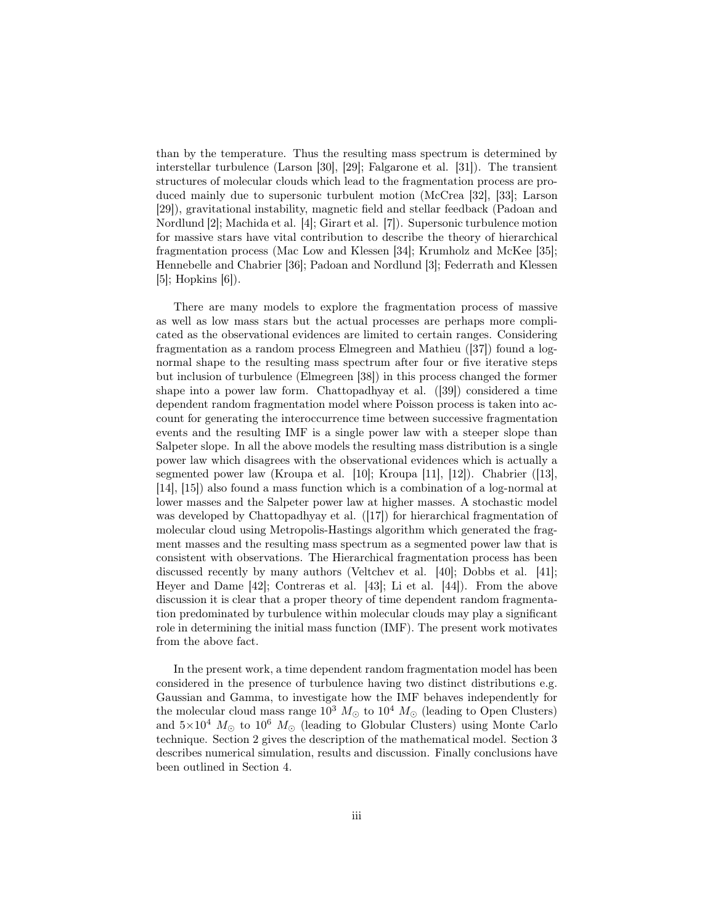than by the temperature. Thus the resulting mass spectrum is determined by interstellar turbulence (Larson [30], [29]; Falgarone et al. [31]). The transient structures of molecular clouds which lead to the fragmentation process are produced mainly due to supersonic turbulent motion (McCrea [32], [33]; Larson [29]), gravitational instability, magnetic field and stellar feedback (Padoan and Nordlund [2]; Machida et al. [4]; Girart et al. [7]). Supersonic turbulence motion for massive stars have vital contribution to describe the theory of hierarchical fragmentation process (Mac Low and Klessen [34]; Krumholz and McKee [35]; Hennebelle and Chabrier [36]; Padoan and Nordlund [3]; Federrath and Klessen  $[5]$ ; Hopkins  $[6]$ ).

There are many models to explore the fragmentation process of massive as well as low mass stars but the actual processes are perhaps more complicated as the observational evidences are limited to certain ranges. Considering fragmentation as a random process Elmegreen and Mathieu ([37]) found a lognormal shape to the resulting mass spectrum after four or five iterative steps but inclusion of turbulence (Elmegreen [38]) in this process changed the former shape into a power law form. Chattopadhyay et al. ([39]) considered a time dependent random fragmentation model where Poisson process is taken into account for generating the interoccurrence time between successive fragmentation events and the resulting IMF is a single power law with a steeper slope than Salpeter slope. In all the above models the resulting mass distribution is a single power law which disagrees with the observational evidences which is actually a segmented power law (Kroupa et al. [10]; Kroupa [11], [12]). Chabrier ([13], [14], [15]) also found a mass function which is a combination of a log-normal at lower masses and the Salpeter power law at higher masses. A stochastic model was developed by Chattopadhyay et al. ([17]) for hierarchical fragmentation of molecular cloud using Metropolis-Hastings algorithm which generated the fragment masses and the resulting mass spectrum as a segmented power law that is consistent with observations. The Hierarchical fragmentation process has been discussed recently by many authors (Veltchev et al. [40]; Dobbs et al. [41]; Heyer and Dame [42]; Contreras et al. [43]; Li et al. [44]). From the above discussion it is clear that a proper theory of time dependent random fragmentation predominated by turbulence within molecular clouds may play a significant role in determining the initial mass function (IMF). The present work motivates from the above fact.

In the present work, a time dependent random fragmentation model has been considered in the presence of turbulence having two distinct distributions e.g. Gaussian and Gamma, to investigate how the IMF behaves independently for the molecular cloud mass range  $10^3$   $M_{\odot}$  to  $10^4$   $M_{\odot}$  (leading to Open Clusters) and  $5\times10^4$  M<sub>☉</sub> to  $10^6$  M<sub>☉</sub> (leading to Globular Clusters) using Monte Carlo technique. Section 2 gives the description of the mathematical model. Section 3 describes numerical simulation, results and discussion. Finally conclusions have been outlined in Section 4.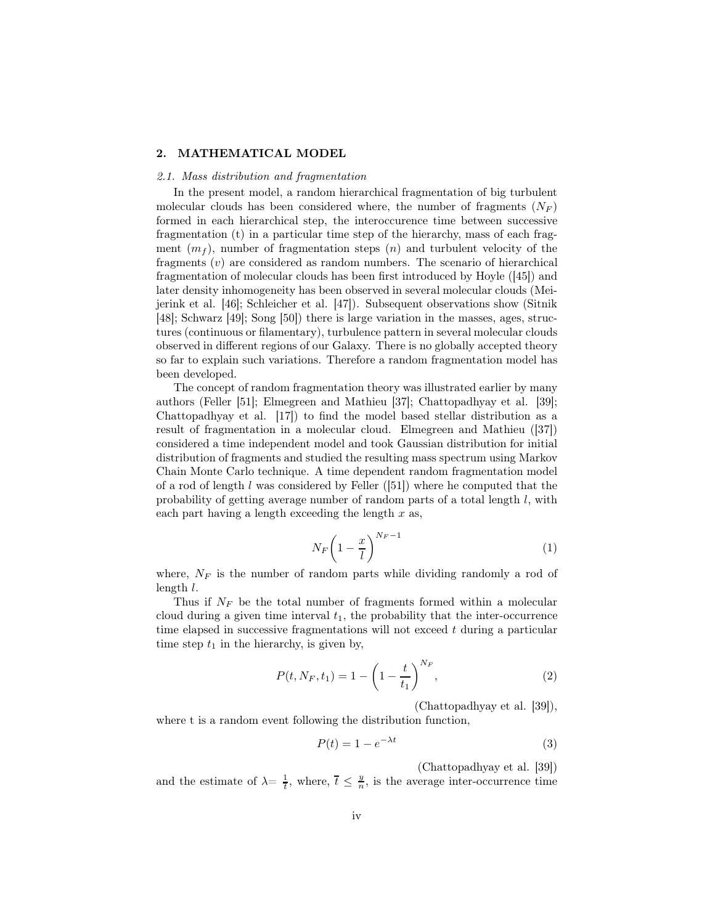## 2. MATHEMATICAL MODEL

#### 2.1. Mass distribution and fragmentation

In the present model, a random hierarchical fragmentation of big turbulent molecular clouds has been considered where, the number of fragments  $(N_F)$ formed in each hierarchical step, the interoccurence time between successive fragmentation (t) in a particular time step of the hierarchy, mass of each fragment  $(m<sub>f</sub>)$ , number of fragmentation steps  $(n)$  and turbulent velocity of the fragments  $(v)$  are considered as random numbers. The scenario of hierarchical fragmentation of molecular clouds has been first introduced by Hoyle ([45]) and later density inhomogeneity has been observed in several molecular clouds (Meijerink et al. [46]; Schleicher et al. [47]). Subsequent observations show (Sitnik [48]; Schwarz [49]; Song [50]) there is large variation in the masses, ages, structures (continuous or filamentary), turbulence pattern in several molecular clouds observed in different regions of our Galaxy. There is no globally accepted theory so far to explain such variations. Therefore a random fragmentation model has been developed.

The concept of random fragmentation theory was illustrated earlier by many authors (Feller [51]; Elmegreen and Mathieu [37]; Chattopadhyay et al. [39]; Chattopadhyay et al. [17]) to find the model based stellar distribution as a result of fragmentation in a molecular cloud. Elmegreen and Mathieu ([37]) considered a time independent model and took Gaussian distribution for initial distribution of fragments and studied the resulting mass spectrum using Markov Chain Monte Carlo technique. A time dependent random fragmentation model of a rod of length l was considered by Feller  $(51)$  where he computed that the probability of getting average number of random parts of a total length l, with each part having a length exceeding the length  $x$  as,

$$
N_F \left(1 - \frac{x}{l}\right)^{N_F - 1} \tag{1}
$$

where,  $N_F$  is the number of random parts while dividing randomly a rod of length l.

Thus if  $N_F$  be the total number of fragments formed within a molecular cloud during a given time interval  $t_1$ , the probability that the inter-occurrence time elapsed in successive fragmentations will not exceed  $t$  during a particular time step  $t_1$  in the hierarchy, is given by,

$$
P(t, N_F, t_1) = 1 - \left(1 - \frac{t}{t_1}\right)^{N_F},\tag{2}
$$

(Chattopadhyay et al. [39]),

where t is a random event following the distribution function,

$$
P(t) = 1 - e^{-\lambda t} \tag{3}
$$

(Chattopadhyay et al. [39])

and the estimate of  $\lambda = \frac{1}{t}$ , where,  $\overline{t} \leq \frac{y}{n}$ , is the average inter-occurrence time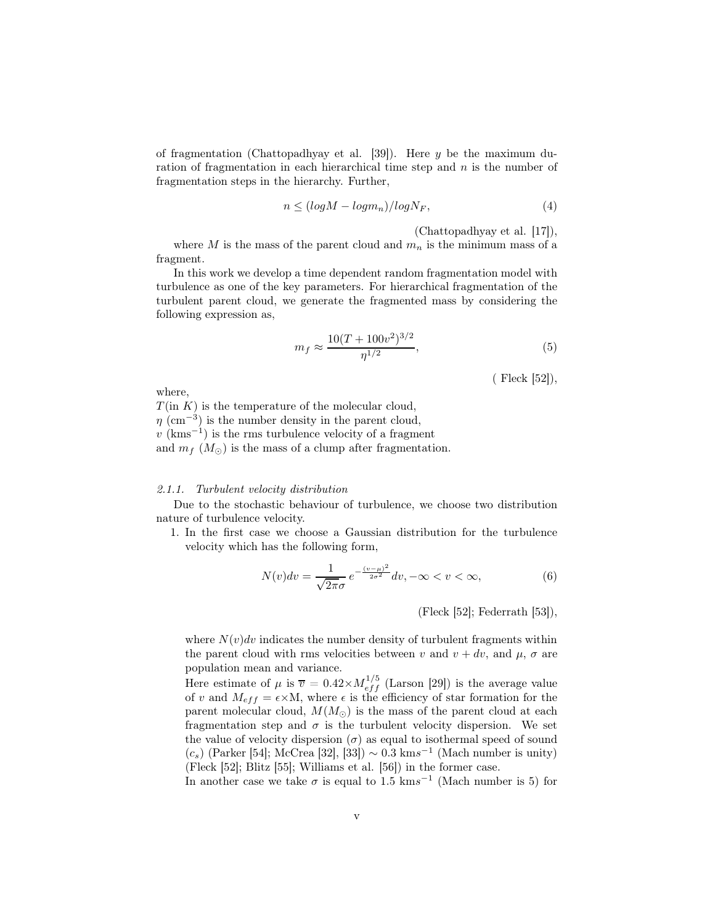of fragmentation (Chattopadhyay et al. [39]). Here  $y$  be the maximum duration of fragmentation in each hierarchical time step and  $n$  is the number of fragmentation steps in the hierarchy. Further,

$$
n \leq (log M - log m_n) / log N_F,
$$
\n(4)

(Chattopadhyay et al. [17]),

where M is the mass of the parent cloud and  $m_n$  is the minimum mass of a fragment.

In this work we develop a time dependent random fragmentation model with turbulence as one of the key parameters. For hierarchical fragmentation of the turbulent parent cloud, we generate the fragmented mass by considering the following expression as,

$$
m_f \approx \frac{10(T + 100v^2)^{3/2}}{\eta^{1/2}},\tag{5}
$$

( Fleck [52]),

where,

 $T(\text{in } K)$  is the temperature of the molecular cloud,  $\eta$  (cm<sup>-3</sup>) is the number density in the parent cloud,  $v$  (kms<sup>-1</sup>) is the rms turbulence velocity of a fragment and  $m_f$  ( $M_{\odot}$ ) is the mass of a clump after fragmentation.

#### 2.1.1. Turbulent velocity distribution

Due to the stochastic behaviour of turbulence, we choose two distribution nature of turbulence velocity.

1. In the first case we choose a Gaussian distribution for the turbulence velocity which has the following form,

$$
N(v)dv = \frac{1}{\sqrt{2\pi}\sigma} e^{-\frac{(v-\mu)^2}{2\sigma^2}} dv, -\infty < v < \infty,
$$
 (6)

(Fleck [52]; Federrath [53]),

where  $N(v)dv$  indicates the number density of turbulent fragments within the parent cloud with rms velocities between v and  $v + dv$ , and  $\mu$ ,  $\sigma$  are population mean and variance.

Here estimate of  $\mu$  is  $\overline{v} = 0.42 \times M_{eff}^{1/5}$  (Larson [29]) is the average value of v and  $M_{eff} = \epsilon \times M$ , where  $\epsilon$  is the efficiency of star formation for the parent molecular cloud,  $M(M_{\odot})$  is the mass of the parent cloud at each fragmentation step and  $\sigma$  is the turbulent velocity dispersion. We set the value of velocity dispersion  $(\sigma)$  as equal to isothermal speed of sound  $(c_s)$  (Parker [54]; McCrea [32], [33]) ~ 0.3 kms<sup>-1</sup> (Mach number is unity) (Fleck [52]; Blitz [55]; Williams et al. [56]) in the former case.

In another case we take  $\sigma$  is equal to 1.5 kms<sup>-1</sup> (Mach number is 5) for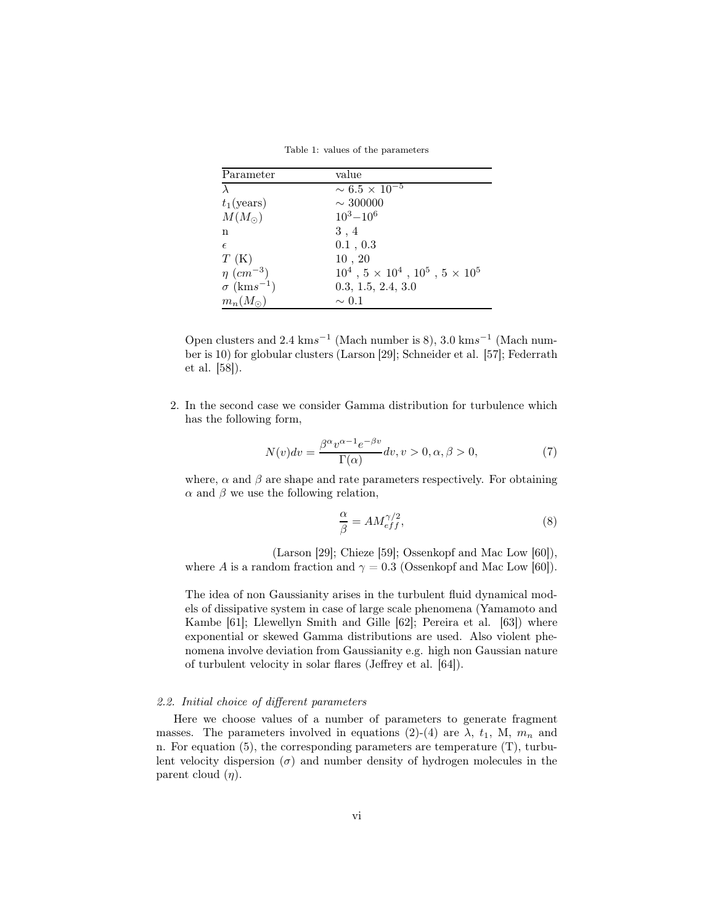Table 1: values of the parameters

| Parameter                     | value                                               |
|-------------------------------|-----------------------------------------------------|
|                               | $\sim 6.5 \times 10^{-5}$                           |
| $t_1$ (years)                 | $\sim$ 300000                                       |
| $M(M_{\odot})$                | $10^3 - 10^6$                                       |
| n                             | 3, 4                                                |
| $\epsilon$                    | 0.1, 0.3                                            |
| T(K)                          | 10, 20                                              |
| $\eta$ (cm <sup>-3</sup> )    | $10^4$ , $5 \times 10^4$ , $10^5$ , $5 \times 10^5$ |
| $\sigma$ (kms <sup>-1</sup> ) | 0.3, 1.5, 2.4, 3.0                                  |
| $m_n(M_{\odot})$              | $\sim 0.1$                                          |

Open clusters and  $2.4 \text{ km} s^{-1}$  (Mach number is 8),  $3.0 \text{ km} s^{-1}$  (Mach number is 10) for globular clusters (Larson [29]; Schneider et al. [57]; Federrath et al. [58]).

2. In the second case we consider Gamma distribution for turbulence which has the following form,

$$
N(v)dv = \frac{\beta^{\alpha}v^{\alpha-1}e^{-\beta v}}{\Gamma(\alpha)}dv, v > 0, \alpha, \beta > 0,
$$
\n(7)

where,  $\alpha$  and  $\beta$  are shape and rate parameters respectively. For obtaining  $\alpha$  and  $\beta$  we use the following relation,

$$
\frac{\alpha}{\beta} = AM_{eff}^{\gamma/2},\tag{8}
$$

(Larson [29]; Chieze [59]; Ossenkopf and Mac Low [60]), where A is a random fraction and  $\gamma = 0.3$  (Ossenkopf and Mac Low [60]).

The idea of non Gaussianity arises in the turbulent fluid dynamical models of dissipative system in case of large scale phenomena (Yamamoto and Kambe [61]; Llewellyn Smith and Gille [62]; Pereira et al. [63]) where exponential or skewed Gamma distributions are used. Also violent phenomena involve deviation from Gaussianity e.g. high non Gaussian nature of turbulent velocity in solar flares (Jeffrey et al. [64]).

#### 2.2. Initial choice of different parameters

Here we choose values of a number of parameters to generate fragment masses. The parameters involved in equations (2)-(4) are  $\lambda$ ,  $t_1$ , M,  $m_n$  and n. For equation (5), the corresponding parameters are temperature (T), turbulent velocity dispersion  $(\sigma)$  and number density of hydrogen molecules in the parent cloud  $(\eta)$ .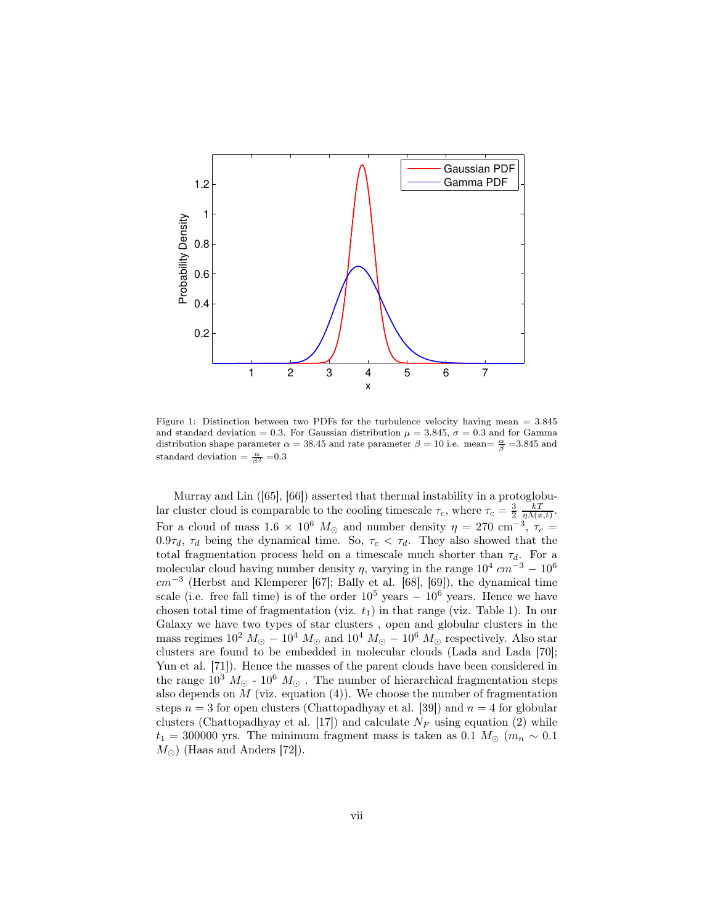

Figure 1: Distinction between two PDFs for the turbulence velocity having mean = 3.845 and standard deviation = 0.3. For Gaussian distribution  $\mu = 3.845$ ,  $\sigma = 0.3$  and for Gamma distribution shape parameter  $\alpha = 38.45$  and rate parameter  $\beta = 10$  i.e. mean=  $\frac{\alpha}{\beta} = 3.845$  and standard deviation =  $\frac{\alpha}{\beta^2}$  = 0.3

Murray and Lin ([65], [66]) asserted that thermal instability in a protoglobular cluster cloud is comparable to the cooling timescale  $\tau_c$ , where  $\tau_c = \frac{3}{2} \frac{kT}{\eta \Lambda(x,t)}$ . For a cloud of mass  $1.6 \times 10^6$  M<sub>☉</sub> and number density  $\eta = 270$  cm<sup>-3</sup>,  $\tau_c =$ 0.9 $\tau_d$ ,  $\tau_d$  being the dynamical time. So,  $\tau_c < \tau_d$ . They also showed that the total fragmentation process held on a timescale much shorter than  $\tau_d$ . For a molecular cloud having number density  $\eta$ , varying in the range  $10^4$  cm<sup>-3</sup> −  $10^6$  $cm^{-3}$  (Herbst and Klemperer [67]; Bally et al. [68], [69]), the dynamical time scale (i.e. free fall time) is of the order  $10^5$  years  $-10^6$  years. Hence we have chosen total time of fragmentation (viz.  $t_1$ ) in that range (viz. Table 1). In our Galaxy we have two types of star clusters , open and globular clusters in the mass regimes  $10^2 M_{\odot} - 10^4 M_{\odot}$  and  $10^4 M_{\odot} - 10^6 M_{\odot}$  respectively. Also star clusters are found to be embedded in molecular clouds (Lada and Lada [70]; Yun et al. [71]). Hence the masses of the parent clouds have been considered in the range  $10^3$   $M_{\odot}$  -  $10^6$   $M_{\odot}$ . The number of hierarchical fragmentation steps also depends on  $M$  (viz. equation  $(4)$ ). We choose the number of fragmentation steps  $n = 3$  for open clusters (Chattopadhyay et al. [39]) and  $n = 4$  for globular clusters (Chattopadhyay et al. [17]) and calculate  $N_F$  using equation (2) while  $t_1 = 300000$  yrs. The minimum fragment mass is taken as 0.1  $M_{\odot}$  ( $m_n \sim 0.1$ )  $M_{\odot}$ ) (Haas and Anders [72]).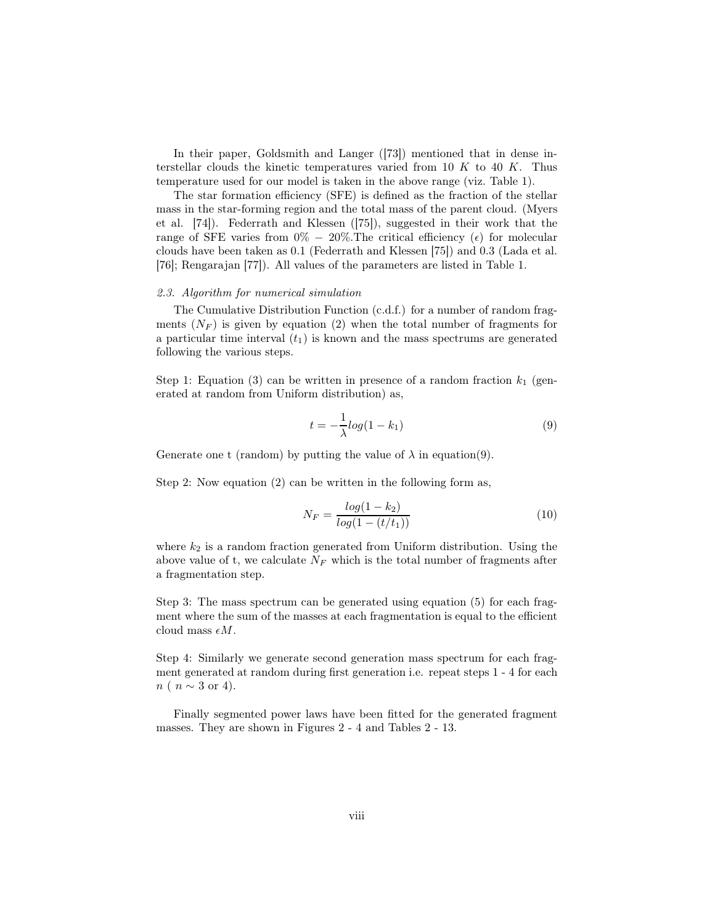In their paper, Goldsmith and Langer ([73]) mentioned that in dense interstellar clouds the kinetic temperatures varied from 10  $K$  to 40  $K$ . Thus temperature used for our model is taken in the above range (viz. Table 1).

The star formation efficiency (SFE) is defined as the fraction of the stellar mass in the star-forming region and the total mass of the parent cloud. (Myers et al. [74]). Federrath and Klessen ([75]), suggested in their work that the range of SFE varies from  $0\% - 20\%.$  The critical efficiency ( $\epsilon$ ) for molecular clouds have been taken as 0.1 (Federrath and Klessen [75]) and 0.3 (Lada et al. [76]; Rengarajan [77]). All values of the parameters are listed in Table 1.

#### 2.3. Algorithm for numerical simulation

The Cumulative Distribution Function (c.d.f.) for a number of random fragments  $(N_F)$  is given by equation (2) when the total number of fragments for a particular time interval  $(t_1)$  is known and the mass spectrums are generated following the various steps.

Step 1: Equation (3) can be written in presence of a random fraction  $k_1$  (generated at random from Uniform distribution) as,

$$
t = -\frac{1}{\lambda} \log(1 - k_1) \tag{9}
$$

Generate one t (random) by putting the value of  $\lambda$  in equation(9).

Step 2: Now equation (2) can be written in the following form as,

$$
N_F = \frac{\log(1 - k_2)}{\log(1 - (t/t_1))}
$$
\n(10)

where  $k_2$  is a random fraction generated from Uniform distribution. Using the above value of t, we calculate  $N_F$  which is the total number of fragments after a fragmentation step.

Step 3: The mass spectrum can be generated using equation (5) for each fragment where the sum of the masses at each fragmentation is equal to the efficient cloud mass  $\epsilon M$ .

Step 4: Similarly we generate second generation mass spectrum for each fragment generated at random during first generation i.e. repeat steps 1 - 4 for each  $n (n \sim 3 \text{ or } 4).$ 

Finally segmented power laws have been fitted for the generated fragment masses. They are shown in Figures 2 - 4 and Tables 2 - 13.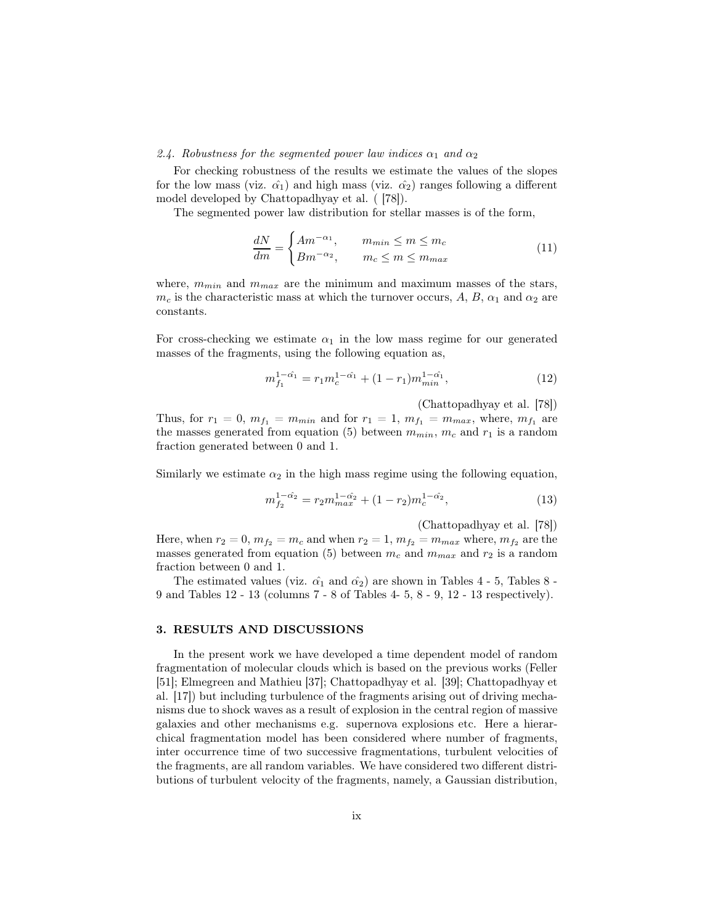## 2.4. Robustness for the segmented power law indices  $\alpha_1$  and  $\alpha_2$

For checking robustness of the results we estimate the values of the slopes for the low mass (viz.  $\hat{\alpha_1}$ ) and high mass (viz.  $\hat{\alpha_2}$ ) ranges following a different model developed by Chattopadhyay et al. ( [78]).

The segmented power law distribution for stellar masses is of the form,

$$
\frac{dN}{dm} = \begin{cases} Am^{-\alpha_1}, & m_{min} \le m \le m_c\\ Bm^{-\alpha_2}, & m_c \le m \le m_{max} \end{cases}
$$
(11)

where,  $m_{min}$  and  $m_{max}$  are the minimum and maximum masses of the stars,  $m_c$  is the characteristic mass at which the turnover occurs, A, B,  $\alpha_1$  and  $\alpha_2$  are constants.

For cross-checking we estimate  $\alpha_1$  in the low mass regime for our generated masses of the fragments, using the following equation as,

$$
m_{f_1}^{1-\hat{\alpha_1}} = r_1 m_c^{1-\hat{\alpha_1}} + (1-r_1) m_{min}^{1-\hat{\alpha_1}}, \tag{12}
$$

(Chattopadhyay et al. [78])

Thus, for  $r_1 = 0$ ,  $m_{f_1} = m_{min}$  and for  $r_1 = 1$ ,  $m_{f_1} = m_{max}$ , where,  $m_{f_1}$  are the masses generated from equation (5) between  $m_{min}$ ,  $m_c$  and  $r_1$  is a random fraction generated between 0 and 1.

Similarly we estimate  $\alpha_2$  in the high mass regime using the following equation,

$$
m_{f_2}^{1-\hat{\alpha}_2} = r_2 m_{max}^{1-\hat{\alpha}_2} + (1-r_2) m_c^{1-\hat{\alpha}_2},\tag{13}
$$

(Chattopadhyay et al. [78])

Here, when  $r_2 = 0$ ,  $m_{f_2} = m_c$  and when  $r_2 = 1$ ,  $m_{f_2} = m_{max}$  where,  $m_{f_2}$  are the masses generated from equation (5) between  $m_c$  and  $m_{max}$  and  $r_2$  is a random fraction between 0 and 1.

The estimated values (viz.  $\hat{\alpha_1}$  and  $\hat{\alpha_2}$ ) are shown in Tables 4 - 5, Tables 8 -9 and Tables 12 - 13 (columns 7 - 8 of Tables 4- 5, 8 - 9, 12 - 13 respectively).

## 3. RESULTS AND DISCUSSIONS

In the present work we have developed a time dependent model of random fragmentation of molecular clouds which is based on the previous works (Feller [51]; Elmegreen and Mathieu [37]; Chattopadhyay et al. [39]; Chattopadhyay et al. [17]) but including turbulence of the fragments arising out of driving mechanisms due to shock waves as a result of explosion in the central region of massive galaxies and other mechanisms e.g. supernova explosions etc. Here a hierarchical fragmentation model has been considered where number of fragments, inter occurrence time of two successive fragmentations, turbulent velocities of the fragments, are all random variables. We have considered two different distributions of turbulent velocity of the fragments, namely, a Gaussian distribution,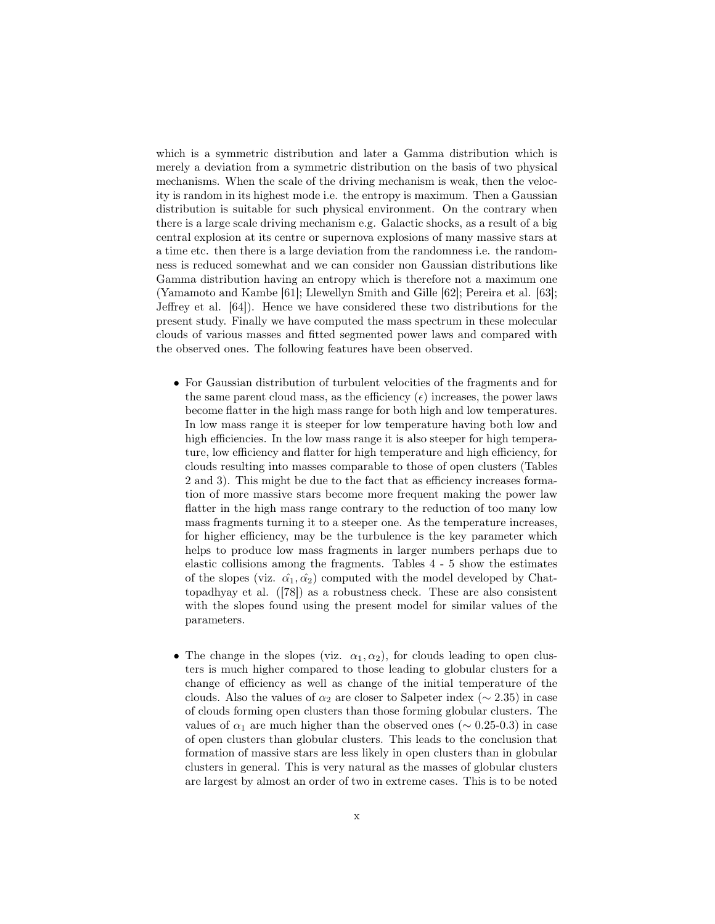which is a symmetric distribution and later a Gamma distribution which is merely a deviation from a symmetric distribution on the basis of two physical mechanisms. When the scale of the driving mechanism is weak, then the velocity is random in its highest mode i.e. the entropy is maximum. Then a Gaussian distribution is suitable for such physical environment. On the contrary when there is a large scale driving mechanism e.g. Galactic shocks, as a result of a big central explosion at its centre or supernova explosions of many massive stars at a time etc. then there is a large deviation from the randomness i.e. the randomness is reduced somewhat and we can consider non Gaussian distributions like Gamma distribution having an entropy which is therefore not a maximum one (Yamamoto and Kambe [61]; Llewellyn Smith and Gille [62]; Pereira et al. [63]; Jeffrey et al. [64]). Hence we have considered these two distributions for the present study. Finally we have computed the mass spectrum in these molecular clouds of various masses and fitted segmented power laws and compared with the observed ones. The following features have been observed.

- For Gaussian distribution of turbulent velocities of the fragments and for the same parent cloud mass, as the efficiency  $(\epsilon)$  increases, the power laws become flatter in the high mass range for both high and low temperatures. In low mass range it is steeper for low temperature having both low and high efficiencies. In the low mass range it is also steeper for high temperature, low efficiency and flatter for high temperature and high efficiency, for clouds resulting into masses comparable to those of open clusters (Tables 2 and 3). This might be due to the fact that as efficiency increases formation of more massive stars become more frequent making the power law flatter in the high mass range contrary to the reduction of too many low mass fragments turning it to a steeper one. As the temperature increases, for higher efficiency, may be the turbulence is the key parameter which helps to produce low mass fragments in larger numbers perhaps due to elastic collisions among the fragments. Tables 4 - 5 show the estimates of the slopes (viz.  $\hat{\alpha_1}, \hat{\alpha_2}$ ) computed with the model developed by Chattopadhyay et al. ([78]) as a robustness check. These are also consistent with the slopes found using the present model for similar values of the parameters.
- The change in the slopes (viz.  $\alpha_1, \alpha_2$ ), for clouds leading to open clusters is much higher compared to those leading to globular clusters for a change of efficiency as well as change of the initial temperature of the clouds. Also the values of  $\alpha_2$  are closer to Salpeter index ( $\sim$  2.35) in case of clouds forming open clusters than those forming globular clusters. The values of  $\alpha_1$  are much higher than the observed ones ( $\sim 0.25$ -0.3) in case of open clusters than globular clusters. This leads to the conclusion that formation of massive stars are less likely in open clusters than in globular clusters in general. This is very natural as the masses of globular clusters are largest by almost an order of two in extreme cases. This is to be noted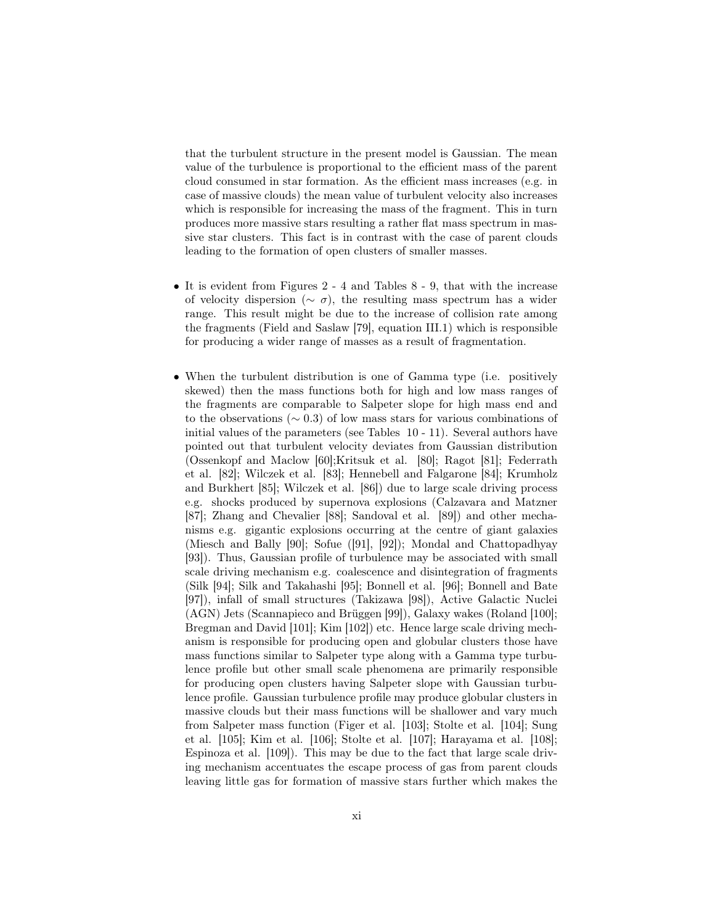that the turbulent structure in the present model is Gaussian. The mean value of the turbulence is proportional to the efficient mass of the parent cloud consumed in star formation. As the efficient mass increases (e.g. in case of massive clouds) the mean value of turbulent velocity also increases which is responsible for increasing the mass of the fragment. This in turn produces more massive stars resulting a rather flat mass spectrum in massive star clusters. This fact is in contrast with the case of parent clouds leading to the formation of open clusters of smaller masses.

- It is evident from Figures 2 4 and Tables 8 9, that with the increase of velocity dispersion ( $\sim \sigma$ ), the resulting mass spectrum has a wider range. This result might be due to the increase of collision rate among the fragments (Field and Saslaw [79], equation III.1) which is responsible for producing a wider range of masses as a result of fragmentation.
- When the turbulent distribution is one of Gamma type (i.e. positively skewed) then the mass functions both for high and low mass ranges of the fragments are comparable to Salpeter slope for high mass end and to the observations ( $\sim$  0.3) of low mass stars for various combinations of initial values of the parameters (see Tables 10 - 11). Several authors have pointed out that turbulent velocity deviates from Gaussian distribution (Ossenkopf and Maclow [60];Kritsuk et al. [80]; Ragot [81]; Federrath et al. [82]; Wilczek et al. [83]; Hennebell and Falgarone [84]; Krumholz and Burkhert [85]; Wilczek et al. [86]) due to large scale driving process e.g. shocks produced by supernova explosions (Calzavara and Matzner [87]; Zhang and Chevalier [88]; Sandoval et al. [89]) and other mechanisms e.g. gigantic explosions occurring at the centre of giant galaxies (Miesch and Bally [90]; Sofue ([91], [92]); Mondal and Chattopadhyay [93]). Thus, Gaussian profile of turbulence may be associated with small scale driving mechanism e.g. coalescence and disintegration of fragments (Silk [94]; Silk and Takahashi [95]; Bonnell et al. [96]; Bonnell and Bate [97]), infall of small structures (Takizawa [98]), Active Galactic Nuclei (AGN) Jets (Scannapieco and Brüggen [99]), Galaxy wakes (Roland [100]; Bregman and David [101]; Kim [102]) etc. Hence large scale driving mechanism is responsible for producing open and globular clusters those have mass functions similar to Salpeter type along with a Gamma type turbulence profile but other small scale phenomena are primarily responsible for producing open clusters having Salpeter slope with Gaussian turbulence profile. Gaussian turbulence profile may produce globular clusters in massive clouds but their mass functions will be shallower and vary much from Salpeter mass function (Figer et al. [103]; Stolte et al. [104]; Sung et al. [105]; Kim et al. [106]; Stolte et al. [107]; Harayama et al. [108]; Espinoza et al. [109]). This may be due to the fact that large scale driving mechanism accentuates the escape process of gas from parent clouds leaving little gas for formation of massive stars further which makes the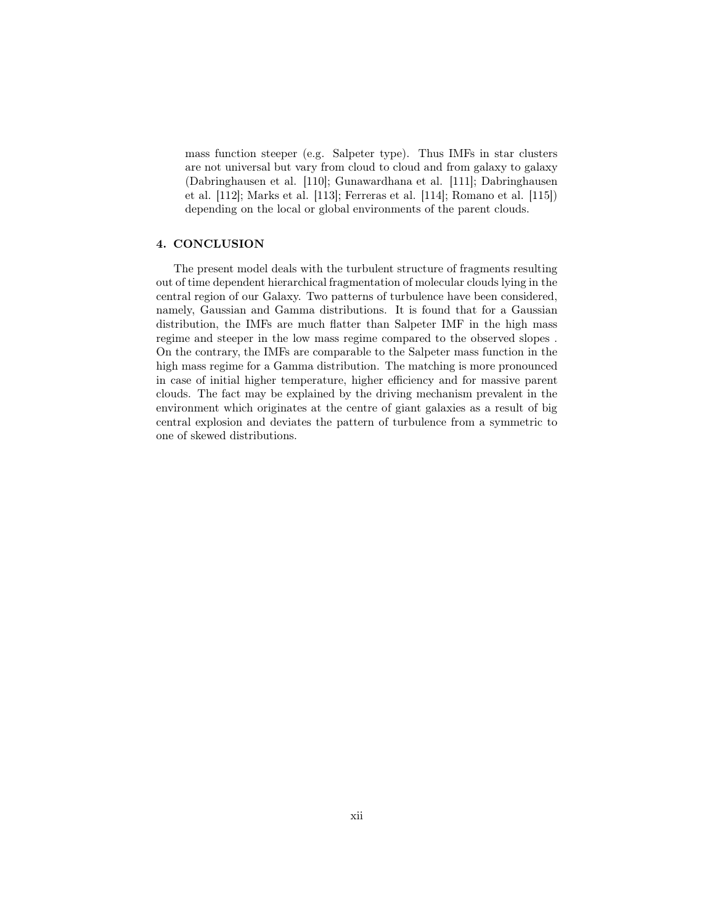mass function steeper (e.g. Salpeter type). Thus IMFs in star clusters are not universal but vary from cloud to cloud and from galaxy to galaxy (Dabringhausen et al. [110]; Gunawardhana et al. [111]; Dabringhausen et al. [112]; Marks et al. [113]; Ferreras et al. [114]; Romano et al. [115]) depending on the local or global environments of the parent clouds.

# 4. CONCLUSION

The present model deals with the turbulent structure of fragments resulting out of time dependent hierarchical fragmentation of molecular clouds lying in the central region of our Galaxy. Two patterns of turbulence have been considered, namely, Gaussian and Gamma distributions. It is found that for a Gaussian distribution, the IMFs are much flatter than Salpeter IMF in the high mass regime and steeper in the low mass regime compared to the observed slopes . On the contrary, the IMFs are comparable to the Salpeter mass function in the high mass regime for a Gamma distribution. The matching is more pronounced in case of initial higher temperature, higher efficiency and for massive parent clouds. The fact may be explained by the driving mechanism prevalent in the environment which originates at the centre of giant galaxies as a result of big central explosion and deviates the pattern of turbulence from a symmetric to one of skewed distributions.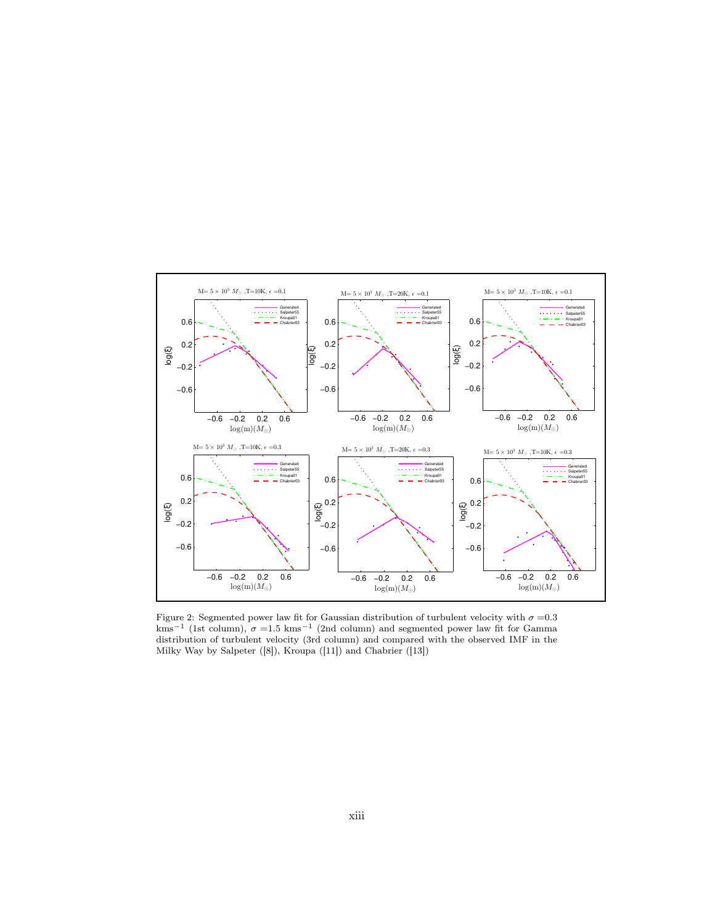

Figure 2: Segmented power law fit for Gaussian distribution of turbulent velocity with  $\sigma = 0.3$  $km s^{-1}$  (1st column),  $\sigma = 1.5$  kms<sup>-1</sup> (2nd column) and segmented power law fit for Gamma distribution of turbulent velocity (3rd column) and compared with the observed IMF in the Milky Way by Salpeter ([8]), Kroupa ([11]) and Chabrier ([13])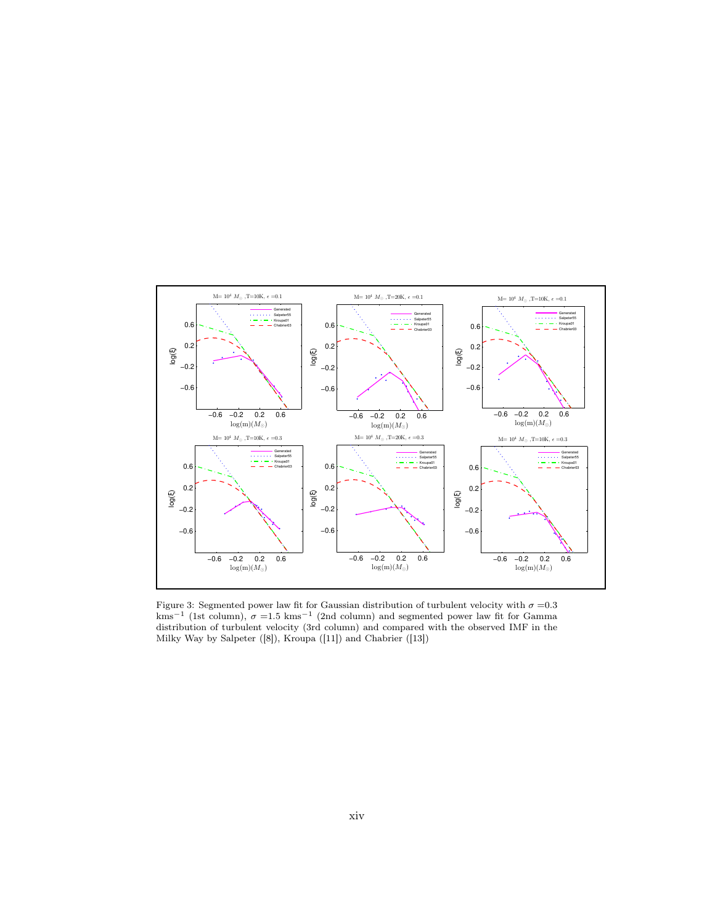

Figure 3: Segmented power law fit for Gaussian distribution of turbulent velocity with  $\sigma = 0.3$ kms<sup>-1</sup> (1st column),  $\sigma = 1.5$  kms<sup>-1</sup> (2nd column) and segmented power law fit for Gamma distribution of turbulent velocity (3rd column) and compared with the observed IMF in the Milky Way by Salpeter ([8]), Kroupa ([11]) and Chabrier ([13])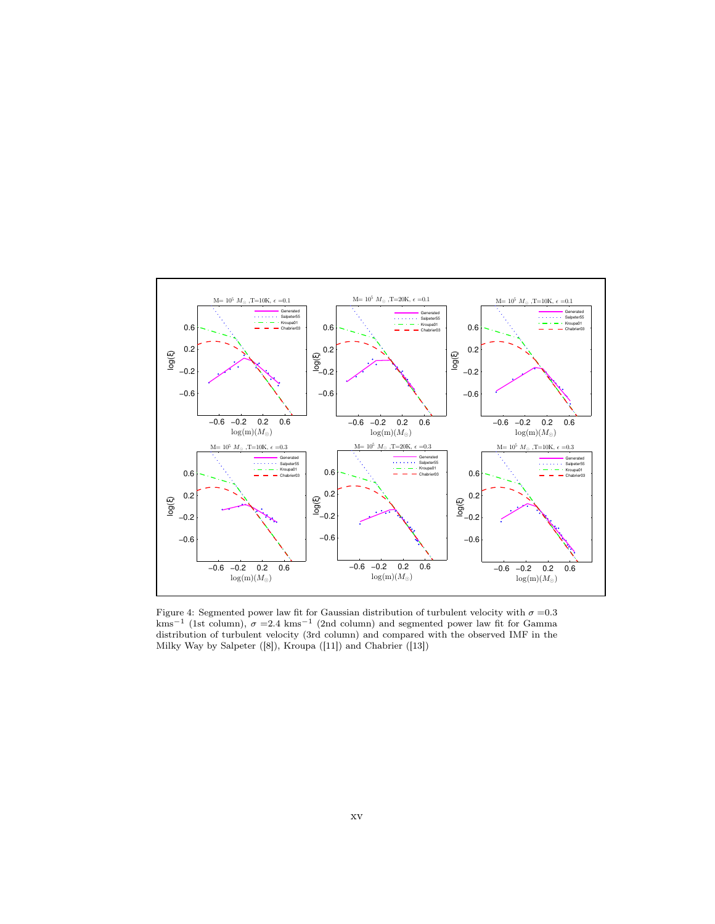

Figure 4: Segmented power law fit for Gaussian distribution of turbulent velocity with  $\sigma = 0.3$ kms<sup>-1</sup> (1st column),  $\sigma = 2.4$  kms<sup>-1</sup> (2nd column) and segmented power law fit for Gamma distribution of turbulent velocity (3rd column) and compared with the observed IMF in the Milky Way by Salpeter ([8]), Kroupa ([11]) and Chabrier ([13])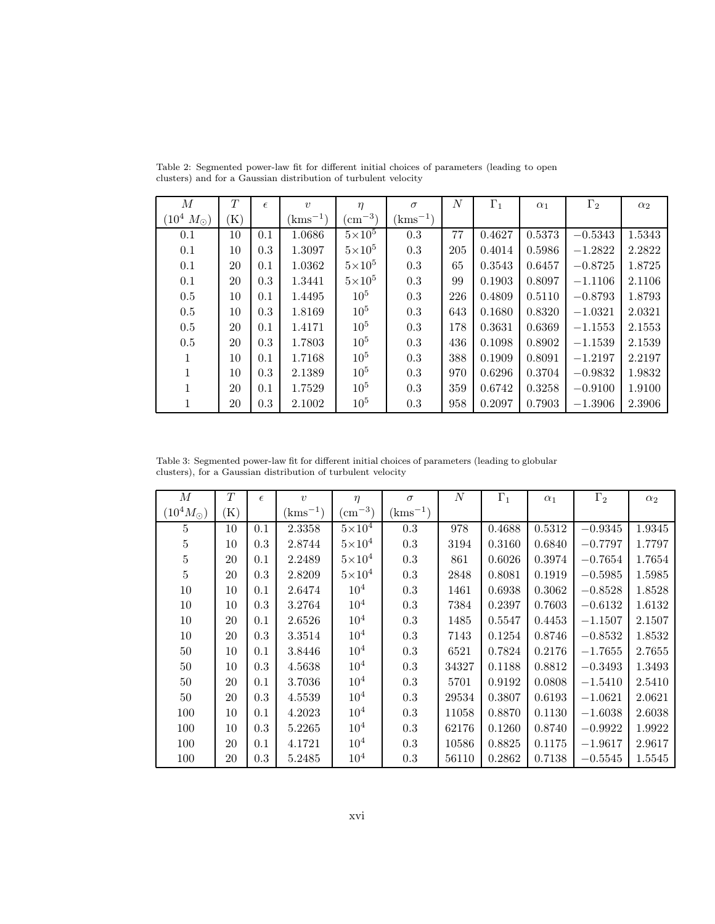| М                  | T                    | $\epsilon$ | $\eta$              | $\eta$                      | $\sigma$        | $\boldsymbol{N}$ | $\Gamma_1$ | $\alpha_1$ | $\Gamma_2$ | $\alpha_2$ |
|--------------------|----------------------|------------|---------------------|-----------------------------|-----------------|------------------|------------|------------|------------|------------|
| $(10^4 M_{\odot})$ | $\rm \left(K\right)$ |            | $({\rm km s^{-1}})$ | $\rm \left( cm^{-3}\right)$ | $\rm(kms^{-1})$ |                  |            |            |            |            |
| 0.1                | 10                   | 0.1        | 1.0686              | $5\times10^5$               | 0.3             | 77               | 0.4627     | 0.5373     | $-0.5343$  | 1.5343     |
| 0.1                | 10                   | 0.3        | 1.3097              | $5\times10^5$               | 0.3             | 205              | 0.4014     | 0.5986     | $-1.2822$  | 2.2822     |
| 0.1                | 20                   | 0.1        | 1.0362              | $5\times10^5$               | 0.3             | 65               | 0.3543     | 0.6457     | $-0.8725$  | 1.8725     |
| 0.1                | 20                   | 0.3        | 1.3441              | $5\times10^5$               | 0.3             | 99               | 0.1903     | 0.8097     | $-1.1106$  | 2.1106     |
| 0.5                | 10                   | 0.1        | 1.4495              | 10 <sup>5</sup>             | 0.3             | 226              | 0.4809     | 0.5110     | $-0.8793$  | 1.8793     |
| 0.5                | 10                   | 0.3        | 1.8169              | 10 <sup>5</sup>             | 0.3             | 643              | 0.1680     | 0.8320     | $-1.0321$  | 2.0321     |
| 0.5                | 20                   | 0.1        | 1.4171              | 10 <sup>5</sup>             | 0.3             | 178              | 0.3631     | 0.6369     | $-1.1553$  | 2.1553     |
| 0.5                | 20                   | 0.3        | 1.7803              | 10 <sup>5</sup>             | 0.3             | 436              | 0.1098     | 0.8902     | $-1.1539$  | 2.1539     |
| 1                  | 10                   | 0.1        | 1.7168              | 10 <sup>5</sup>             | 0.3             | 388              | 0.1909     | 0.8091     | $-1.2197$  | 2.2197     |
|                    | 10                   | 0.3        | 2.1389              | 10 <sup>5</sup>             | 0.3             | 970              | 0.6296     | 0.3704     | $-0.9832$  | 1.9832     |
|                    | 20                   | 0.1        | 1.7529              | 10 <sup>5</sup>             | 0.3             | 359              | 0.6742     | 0.3258     | $-0.9100$  | 1.9100     |
| 1                  | 20                   | 0.3        | 2.1002              | 10 <sup>5</sup>             | 0.3             | 958              | 0.2097     | 0.7903     | $-1.3906$  | 2.3906     |

Table 2: Segmented power-law fit for different initial choices of parameters (leading to open clusters) and for a Gaussian distribution of turbulent velocity

Table 3: Segmented power-law fit for different initial choices of parameters (leading to globular clusters), for a Gaussian distribution of turbulent velocity

| М                 | T         | $\epsilon$ | $\boldsymbol{v}$ | $\eta$          | $\sigma$     | N     | $\Gamma_1$ | $\alpha_1$ | $\Gamma_2$ | $\alpha_2$ |
|-------------------|-----------|------------|------------------|-----------------|--------------|-------|------------|------------|------------|------------|
| $(10^4M_{\odot})$ | $\rm (K)$ |            | $(kms^{-1})$     | $\rm (cm^{-3})$ | $(kms^{-1})$ |       |            |            |            |            |
| 5                 | 10        | 0.1        | 2.3358           | $5\times10^4$   | 0.3          | 978   | 0.4688     | 0.5312     | $-0.9345$  | 1.9345     |
| $\bf 5$           | 10        | 0.3        | 2.8744           | $5\times10^4$   | 0.3          | 3194  | 0.3160     | 0.6840     | $-0.7797$  | 1.7797     |
| $\bf 5$           | 20        | 0.1        | 2.2489           | $5\times10^4$   | 0.3          | 861   | 0.6026     | 0.3974     | $-0.7654$  | 1.7654     |
| $\rm 5$           | 20        | 0.3        | 2.8209           | $5\times10^4$   | 0.3          | 2848  | 0.8081     | 0.1919     | $-0.5985$  | 1.5985     |
| 10                | 10        | 0.1        | 2.6474           | 10 <sup>4</sup> | 0.3          | 1461  | 0.6938     | 0.3062     | $-0.8528$  | 1.8528     |
| 10                | 10        | 0.3        | 3.2764           | 10 <sup>4</sup> | 0.3          | 7384  | 0.2397     | 0.7603     | $-0.6132$  | 1.6132     |
| 10                | 20        | 0.1        | 2.6526           | 10 <sup>4</sup> | 0.3          | 1485  | 0.5547     | 0.4453     | $-1.1507$  | 2.1507     |
| 10                | 20        | 0.3        | 3.3514           | 10 <sup>4</sup> | 0.3          | 7143  | 0.1254     | 0.8746     | $-0.8532$  | 1.8532     |
| $50\,$            | 10        | 0.1        | 3.8446           | 10 <sup>4</sup> | 0.3          | 6521  | 0.7824     | 0.2176     | $-1.7655$  | 2.7655     |
| 50                | 10        | 0.3        | 4.5638           | 10 <sup>4</sup> | 0.3          | 34327 | 0.1188     | 0.8812     | $-0.3493$  | 1.3493     |
| $50\,$            | 20        | 0.1        | 3.7036           | 10 <sup>4</sup> | 0.3          | 5701  | 0.9192     | 0.0808     | $-1.5410$  | 2.5410     |
| 50                | 20        | 0.3        | 4.5539           | 10 <sup>4</sup> | 0.3          | 29534 | 0.3807     | 0.6193     | $-1.0621$  | 2.0621     |
| 100               | 10        | 0.1        | 4.2023           | 10 <sup>4</sup> | 0.3          | 11058 | 0.8870     | 0.1130     | $-1.6038$  | 2.6038     |
| 100               | 10        | 0.3        | 5.2265           | 10 <sup>4</sup> | 0.3          | 62176 | 0.1260     | 0.8740     | $-0.9922$  | 1.9922     |
| 100               | 20        | 0.1        | 4.1721           | 10 <sup>4</sup> | 0.3          | 10586 | 0.8825     | 0.1175     | $-1.9617$  | 2.9617     |
| 100               | 20        | 0.3        | 5.2485           | 10 <sup>4</sup> | 0.3          | 56110 | 0.2862     | 0.7138     | $-0.5545$  | 1.5545     |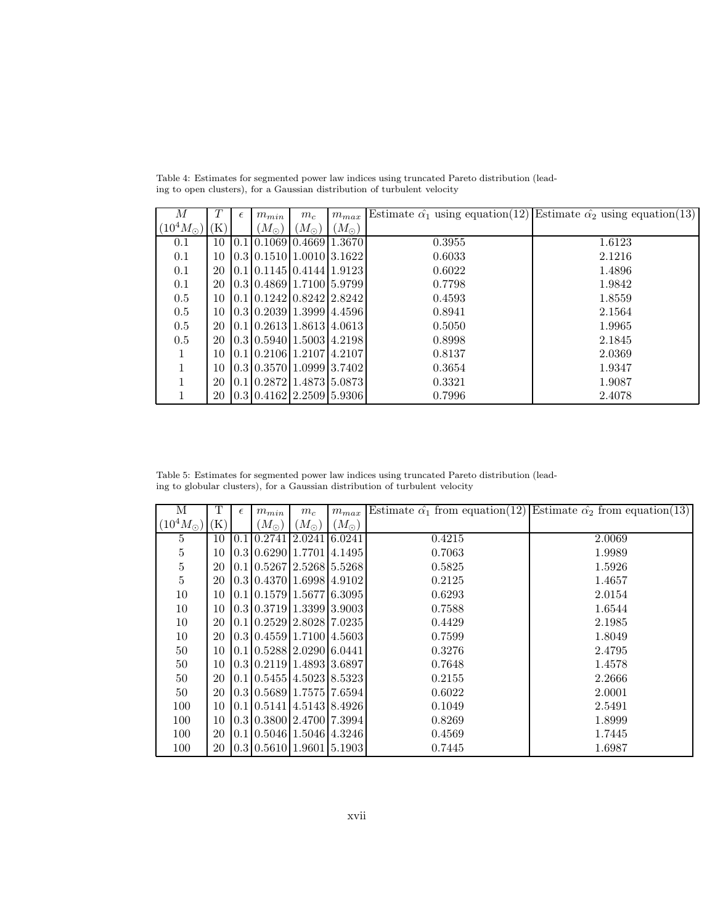| М                  | T              | $\epsilon$ | $m_{min}$                                                | $m_c$       | $m_{max}$     | Estimate $\hat{\alpha_1}$ using equation(12) | Estimate $\hat{\alpha_2}$ using equation(13) |
|--------------------|----------------|------------|----------------------------------------------------------|-------------|---------------|----------------------------------------------|----------------------------------------------|
| $(10^4 M_{\odot})$ | $(\mathrm{K})$ |            | $(M_{\odot})$                                            | $M_{\odot}$ | $(M_{\odot})$ |                                              |                                              |
| 0.1                | 10             |            | 0.1   0.1069   0.4669   1.3670                           |             |               | 0.3955                                       | 1.6123                                       |
| 0.1                | 10             |            | $0.3 \mid 0.1510 \mid 1.0010 \mid 3.1622$                |             |               | 0.6033                                       | 2.1216                                       |
| 0.1                | 20             |            | $[0.1 \, 0.1145 \, 0.4144 \, 1.9123]$                    |             |               | 0.6022                                       | 1.4896                                       |
| 0.1                | 20             |            | 0.310.486911.710015.9799                                 |             |               | 0.7798                                       | 1.9842                                       |
| 0.5                | 10             |            | $[0.1 \, 0.1242 \, 0.8242 \, 2.8242]$                    |             |               | 0.4593                                       | 1.8559                                       |
| $0.5\,$            | 10             |            | $[0.3 \, 0.2039 \, 1.3999 \, 4.4596]$                    |             |               | 0.8941                                       | 2.1564                                       |
| 0.5                | 20             |            | $[0.1 \, 0.2613 \, 1.8613 \, 1.0613]$                    |             |               | 0.5050                                       | 1.9965                                       |
| 0.5                | 20             |            | $[0.3 \, 0.5940 \, 1.5003 \, 14.2198]$                   |             |               | 0.8998                                       | 2.1845                                       |
|                    | 10             |            | $0.1 \mid 0.2106 \mid 1.2107 \mid 4.2107 \mid$           |             |               | 0.8137                                       | 2.0369                                       |
|                    | 10             |            | 0.310.357011.099913.7402                                 |             |               | 0.3654                                       | 1.9347                                       |
|                    | 20             |            | $\vert 0.1 \vert 0.2872 \vert 1.4873 \vert 5.0873 \vert$ |             |               | 0.3321                                       | 1.9087                                       |
|                    | 20             |            | $0.3 \mid 0.4162 \mid 2.2509 \mid 5.9306$                |             |               | 0.7996                                       | 2.4078                                       |

Table 4: Estimates for segmented power law indices using truncated Pareto distribution (leading to open clusters), for a Gaussian distribution of turbulent velocity

Table 5: Estimates for segmented power law indices using truncated Pareto distribution (leading to globular clusters), for a Gaussian distribution of turbulent velocity

| М               | Т         | $\epsilon$ | $m_{min}$                                                | $m_c$         | $m_{\max}$    | Estimate $\hat{\alpha_1}$ from equation(12) Estimate $\hat{\alpha_2}$ from equation(13) |        |
|-----------------|-----------|------------|----------------------------------------------------------|---------------|---------------|-----------------------------------------------------------------------------------------|--------|
| $(10^4M_\odot)$ | $\rm (K)$ |            | $(M_\odot)$                                              | $(M_{\odot})$ | $(M_{\odot})$ |                                                                                         |        |
| 5               | 10        |            | 10.110.274112.024116.0241                                |               |               | 0.4215                                                                                  | 2.0069 |
| 5               | 10        |            | 10.310.629011.770114.1495                                |               |               | 0.7063                                                                                  | 1.9989 |
| $\bf 5$         | 20        |            | 0.1 0.5267 2.5268 5.5268                                 |               |               | 0.5825                                                                                  | 1.5926 |
| $\overline{5}$  | 20        |            | $(0.3 \, 0.4370 \, 1.6998 \, 4.9102)$                    |               |               | 0.2125                                                                                  | 1.4657 |
| 10              | 10        |            | $[0.1 \, 0.1579 \, 1.5677 \, 6.3095]$                    |               |               | 0.6293                                                                                  | 2.0154 |
| 10              | 10        |            | $\vert 0.3 \vert 0.3719 \vert 1.3399 \vert 3.9003 \vert$ |               |               | 0.7588                                                                                  | 1.6544 |
| 10              | 20        |            | $(0.1 \, 0.2529 \, 2.8028 \, 7.0235)$                    |               |               | 0.4429                                                                                  | 2.1985 |
| 10              | 20        |            | $\left  0.3 \right  0.4559 \left  1.7100 \right  4.5603$ |               |               | 0.7599                                                                                  | 1.8049 |
| 50              | 10        |            | $[0.1 \, 0.5288 \, 2.0290 \, 6.0441]$                    |               |               | 0.3276                                                                                  | 2.4795 |
| 50              | 10        |            | $\vert 0.3 \vert 0.2119 \vert 1.4893 \vert 3.6897 \vert$ |               |               | 0.7648                                                                                  | 1.4578 |
| 50              | 20        |            | $\vert 0.1 \vert 0.5455 \vert 4.5023 \vert 8.5323 \vert$ |               |               | 0.2155                                                                                  | 2.2666 |
| 50              | 20        |            | $\left  0.3 \right  0.5689 \left  1.7575 \right  7.6594$ |               |               | 0.6022                                                                                  | 2.0001 |
| 100             | 10        |            | $[0.1 \, 0.5141 \, 4.5143 \, 8.4926]$                    |               |               | 0.1049                                                                                  | 2.5491 |
| 100             | 10        |            | $(0.3 \, 0.3 \, 800 \, 2.4 \, 700 \, 7.3994$             |               |               | 0.8269                                                                                  | 1.8999 |
| 100             | 20        |            | $(0.1 \, 0.5046 \, 1.5046 \, 4.3246)$                    |               |               | 0.4569                                                                                  | 1.7445 |
| 100             | 20        |            | $[0.3 \, 0.5610 \, 1.9601 \, 5.1903]$                    |               |               | 0.7445                                                                                  | 1.6987 |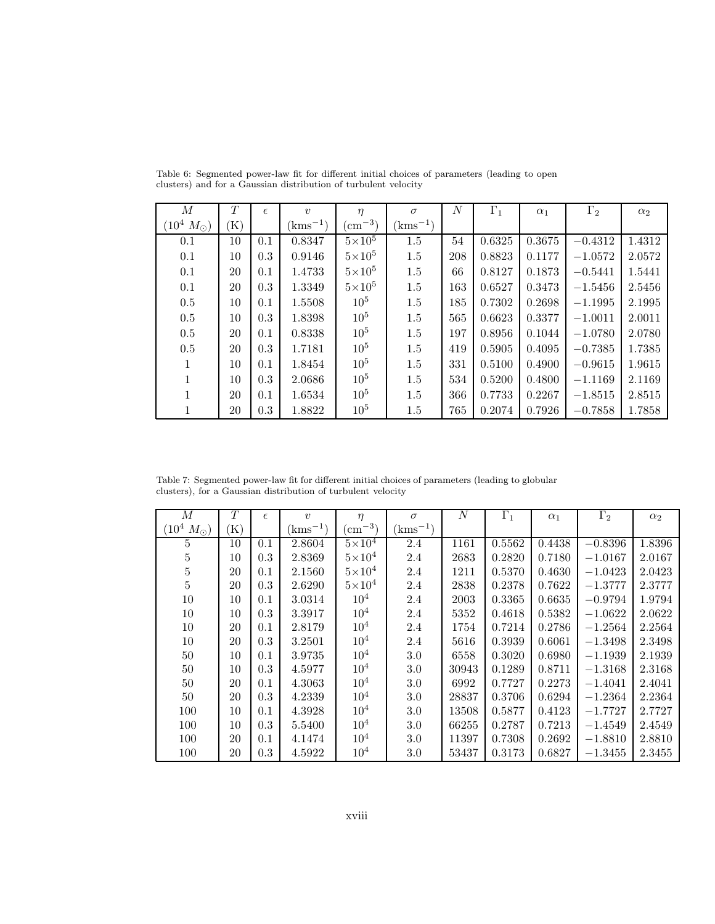| М                  | T         | $\epsilon$ | $\boldsymbol{v}$ | $\eta$              | $\sigma$     | $\overline{N}$ | $\Gamma_1$ | $\alpha_1$ | $\Gamma_2$ | $\alpha_2$ |
|--------------------|-----------|------------|------------------|---------------------|--------------|----------------|------------|------------|------------|------------|
| $(10^4 M_{\odot})$ | $\rm (K)$ |            | $(kms^{-1})$     | $\rm \ell cm^{-3})$ | $(kms^{-1})$ |                |            |            |            |            |
| 0.1                | 10        | 0.1        | 0.8347           | $5\times10^5$       | 1.5          | 54             | 0.6325     | 0.3675     | $-0.4312$  | 1.4312     |
| 0.1                | 10        | 0.3        | 0.9146           | $5\times10^5$       | $1.5\,$      | 208            | 0.8823     | 0.1177     | $-1.0572$  | 2.0572     |
| 0.1                | 20        | 0.1        | 1.4733           | $5\times10^5$       | 1.5          | 66             | 0.8127     | 0.1873     | $-0.5441$  | 1.5441     |
| 0.1                | 20        | 0.3        | 1.3349           | $5\times10^5$       | $1.5\,$      | 163            | 0.6527     | 0.3473     | $-1.5456$  | 2.5456     |
| 0.5                | 10        | 0.1        | 1.5508           | 10 <sup>5</sup>     | $1.5\,$      | 185            | 0.7302     | 0.2698     | $-1.1995$  | 2.1995     |
| 0.5                | 10        | 0.3        | 1.8398           | $10^{5}$            | 1.5          | 565            | 0.6623     | 0.3377     | $-1.0011$  | 2.0011     |
| 0.5                | 20        | 0.1        | 0.8338           | $10^{5}$            | $1.5\,$      | 197            | 0.8956     | 0.1044     | $-1.0780$  | 2.0780     |
| 0.5                | 20        | 0.3        | 1.7181           | 10 <sup>5</sup>     | $1.5\,$      | 419            | 0.5905     | 0.4095     | $-0.7385$  | 1.7385     |
| 1                  | 10        | 0.1        | 1.8454           | 10 <sup>5</sup>     | $1.5\,$      | 331            | 0.5100     | 0.4900     | $-0.9615$  | 1.9615     |
|                    | 10        | 0.3        | 2.0686           | 10 <sup>5</sup>     | 1.5          | 534            | 0.5200     | 0.4800     | $-1.1169$  | 2.1169     |
|                    | 20        | 0.1        | 1.6534           | 10 <sup>5</sup>     | 1.5          | 366            | 0.7733     | 0.2267     | $-1.8515$  | 2.8515     |
| 1                  | 20        | 0.3        | 1.8822           | 10 <sup>5</sup>     | 1.5          | 765            | 0.2074     | 0.7926     | $-0.7858$  | 1.7858     |

Table 6: Segmented power-law fit for different initial choices of parameters (leading to open clusters) and for a Gaussian distribution of turbulent velocity

Table 7: Segmented power-law fit for different initial choices of parameters (leading to globular clusters), for a Gaussian distribution of turbulent velocity

| М                      | T         | $\epsilon$ | $\boldsymbol{v}$ | $\eta$                | $\sigma$     | $\overline{N}$ | $\Gamma_1$ | $\alpha_1$ | $\Gamma_2$ | $\alpha_2$ |
|------------------------|-----------|------------|------------------|-----------------------|--------------|----------------|------------|------------|------------|------------|
| $(10^4$<br>$M_{\odot}$ | $\rm (K)$ |            | $(kms^{-1})$     | $\rm \ell\, cm^{-3})$ | $(kms^{-1})$ |                |            |            |            |            |
| 5                      | 10        | 0.1        | 2.8604           | $5\times10^{4}$       | 2.4          | 1161           | 0.5562     | 0.4438     | $-0.8396$  | 1.8396     |
| 5                      | 10        | 0.3        | 2.8369           | $5\times10^4$         | 2.4          | 2683           | 0.2820     | 0.7180     | $-1.0167$  | 2.0167     |
| $\bf 5$                | 20        | 0.1        | 2.1560           | $5\times10^4$         | 2.4          | 1211           | 0.5370     | 0.4630     | $-1.0423$  | 2.0423     |
| 5                      | 20        | 0.3        | 2.6290           | $5\times10^4$         | 2.4          | 2838           | 0.2378     | 0.7622     | $-1.3777$  | 2.3777     |
| 10                     | 10        | 0.1        | 3.0314           | 10 <sup>4</sup>       | 2.4          | 2003           | 0.3365     | 0.6635     | $-0.9794$  | 1.9794     |
| 10                     | 10        | 0.3        | 3.3917           | 10 <sup>4</sup>       | 2.4          | 5352           | 0.4618     | 0.5382     | $-1.0622$  | 2.0622     |
| 10                     | 20        | 0.1        | 2.8179           | 10 <sup>4</sup>       | 2.4          | 1754           | 0.7214     | 0.2786     | $-1.2564$  | 2.2564     |
| $10\,$                 | 20        | 0.3        | 3.2501           | 10 <sup>4</sup>       | 2.4          | 5616           | 0.3939     | 0.6061     | $-1.3498$  | 2.3498     |
| $50\,$                 | 10        | 0.1        | 3.9735           | 10 <sup>4</sup>       | 3.0          | 6558           | 0.3020     | 0.6980     | $-1.1939$  | 2.1939     |
| 50                     | 10        | 0.3        | 4.5977           | 10 <sup>4</sup>       | 3.0          | 30943          | 0.1289     | 0.8711     | $-1.3168$  | 2.3168     |
| 50                     | 20        | 0.1        | 4.3063           | 10 <sup>4</sup>       | 3.0          | 6992           | 0.7727     | 0.2273     | $-1.4041$  | 2.4041     |
| 50                     | 20        | 0.3        | 4.2339           | 10 <sup>4</sup>       | 3.0          | 28837          | 0.3706     | 0.6294     | $-1.2364$  | 2.2364     |
| 100                    | 10        | 0.1        | 4.3928           | 10 <sup>4</sup>       | 3.0          | 13508          | 0.5877     | 0.4123     | $-1.7727$  | 2.7727     |
| 100                    | 10        | 0.3        | 5.5400           | 10 <sup>4</sup>       | 3.0          | 66255          | 0.2787     | 0.7213     | $-1.4549$  | 2.4549     |
| 100                    | 20        | 0.1        | 4.1474           | 10 <sup>4</sup>       | 3.0          | 11397          | 0.7308     | 0.2692     | $-1.8810$  | 2.8810     |
| 100                    | 20        | 0.3        | 4.5922           | 10 <sup>4</sup>       | $3.0\,$      | 53437          | 0.3173     | 0.6827     | $-1.3455$  | 2.3455     |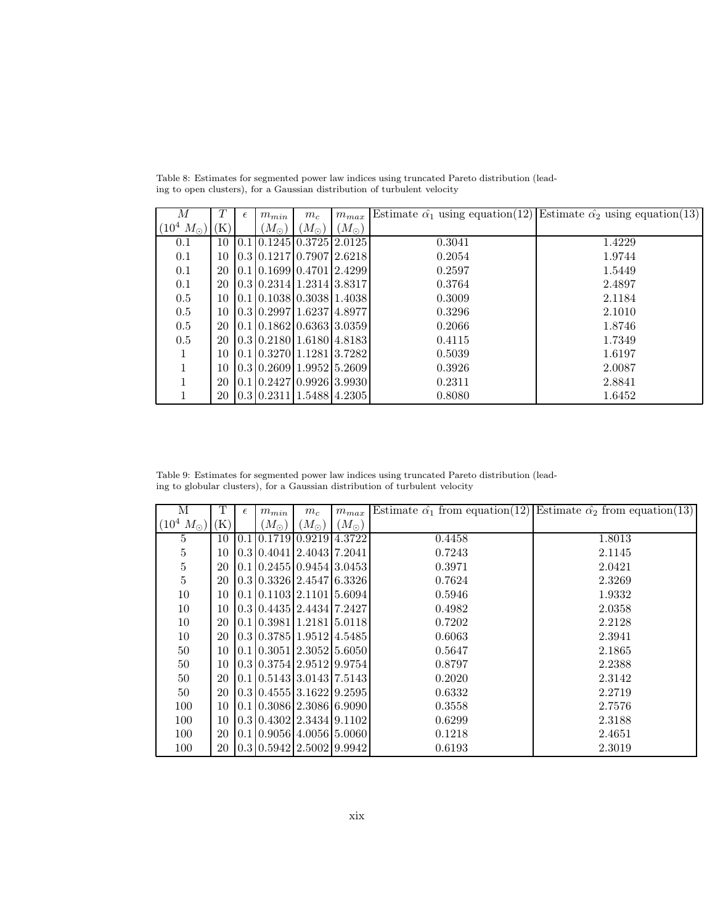| М                  | T         | $\epsilon$ | $m_{min}$     | $m_c$                                                    | $m_{max}$   |        | Estimate $\hat{\alpha_1}$ using equation(12) Estimate $\hat{\alpha_2}$ using equation(13) |
|--------------------|-----------|------------|---------------|----------------------------------------------------------|-------------|--------|-------------------------------------------------------------------------------------------|
| $(10^4 M_{\odot})$ | $\rm (K)$ |            | $(M_{\odot})$ | $(M_\odot)$                                              | $(M_\odot)$ |        |                                                                                           |
| 0.1                | 10        |            |               | $0.1 \, 0.1245 \, 0.3725 \, 12.0125$                     |             | 0.3041 | 1.4229                                                                                    |
| 0.1                | 10        |            |               | $\vert 0.3 \vert 0.1217 \vert 0.7907 \vert 2.6218 \vert$ |             | 0.2054 | 1.9744                                                                                    |
| 0.1                | 20        |            |               | $0.1 \, 0.1699 \, 0.4701 \, 2.4299$                      |             | 0.2597 | 1.5449                                                                                    |
| 0.1                | 20        |            |               | 0.3 0.2314 1.2314 3.8317                                 |             | 0.3764 | 2.4897                                                                                    |
| 0.5                | 10        |            |               | $\vert 0.1 \vert 0.1038 \vert 0.3038 \vert 1.4038 \vert$ |             | 0.3009 | 2.1184                                                                                    |
| $0.5\,$            | 10        |            |               | 0.3 0.2997 1.6237 4.8977                                 |             | 0.3296 | 2.1010                                                                                    |
| $0.5\,$            | 20        |            |               | $\vert 0.1 \vert 0.1862 \vert 0.6363 \vert 3.0359$       |             | 0.2066 | 1.8746                                                                                    |
| 0.5                | 20        |            |               | 0.3 0.2180 1.6180 4.8183                                 |             | 0.4115 | 1.7349                                                                                    |
|                    | 10        |            |               | $0.1 \mid 0.3270 \mid 1.1281 \mid 3.7282$                |             | 0.5039 | 1.6197                                                                                    |
|                    | 10        |            |               | 0.3 0.2609 1.9952 5.2609                                 |             | 0.3926 | 2.0087                                                                                    |
|                    | 20        |            |               | $0.1 \mid 0.2427 \mid 0.9926 \mid 3.9930 \mid$           |             | 0.2311 | 2.8841                                                                                    |
|                    | 20        |            |               | $0.3 \mid 0.2311 \mid 1.5488 \mid 4.2305$                |             | 0.8080 | 1.6452                                                                                    |

Table 8: Estimates for segmented power law indices using truncated Pareto distribution (leading to open clusters), for a Gaussian distribution of turbulent velocity

Table 9: Estimates for segmented power law indices using truncated Pareto distribution (leading to globular clusters), for a Gaussian distribution of turbulent velocity

| М                  | T              | $\epsilon$ | $m_{min}$                                          | $m_c$       | $m_{\max}$                                               |        | Estimate $\hat{\alpha_1}$ from equation(12) Estimate $\hat{\alpha_2}$ from equation(13) |
|--------------------|----------------|------------|----------------------------------------------------|-------------|----------------------------------------------------------|--------|-----------------------------------------------------------------------------------------|
| $(10^4 M_{\odot})$ | $(\mathrm{K})$ |            | $(M_\odot)$                                        | $(M_\odot)$ | $(M_{\odot})$                                            |        |                                                                                         |
| 5                  | 10             |            |                                                    |             | $0.1 \, 0.1719 \, 0.9219 \, 14.3722$                     | 0.4458 | 1.8013                                                                                  |
| 5                  | 10             |            | $\vert 0.3 \vert 0.4041 \vert 2.4043 \vert 7.2041$ |             |                                                          | 0.7243 | 2.1145                                                                                  |
| 5                  | 20             |            |                                                    |             | $0.1 \mid 0.2455 \mid 0.9454 \mid 3.0453$                | 0.3971 | 2.0421                                                                                  |
| 5                  | $20-1$         |            |                                                    |             | $(0.3 \, 0.3326 \, 2.4547 \, 6.3326)$                    | 0.7624 | 2.3269                                                                                  |
| 10                 | 10             |            |                                                    |             | $(0.1 \, 0.1 \, 103 \, 2.1 \, 101 \, 5.6 \, 094)$        | 0.5946 | 1.9332                                                                                  |
| 10                 | $10-1$         |            |                                                    |             | $(0.3 \, 0.4435 \, 2.4434 \, 7.2427$                     | 0.4982 | 2.0358                                                                                  |
| 10                 | 20             |            |                                                    |             | $0.1 \mid 0.3981 \mid 1.2181 \mid 5.0118$                | 0.7202 | 2.2128                                                                                  |
| 10                 | $20-1$         |            |                                                    |             | $(0.3 \, 0.3785 \, 1.9512 \, 4.5485$                     | 0.6063 | 2.3941                                                                                  |
| 50                 | $10-1$         |            |                                                    |             | $(0.1 \, 0.3051 \, 2.3052 \, 5.6050)$                    | 0.5647 | 2.1865                                                                                  |
| 50                 | 10             |            |                                                    |             | 0.3 0.3754 2.9512 9.9754                                 | 0.8797 | 2.2388                                                                                  |
| 50                 | 20             |            |                                                    |             | $0.1 \mid 0.5143 \mid 3.0143 \mid 7.5143 \mid$           | 0.2020 | 2.3142                                                                                  |
| 50                 | 20             |            |                                                    |             | $\vert 0.3 \vert 0.4555 \vert 3.1622 \vert 9.2595 \vert$ | 0.6332 | 2.2719                                                                                  |
| 100                | 10             |            |                                                    |             | $0.1 \, 0.3086 \, 2.3086 \, 6.9090$                      | 0.3558 | 2.7576                                                                                  |
| 100                | 10             |            |                                                    |             | $\vert 0.3 \vert 0.4302 \vert 2.3434 \vert 9.1102 \vert$ | 0.6299 | 2.3188                                                                                  |
| 100                | 20             |            |                                                    |             | $0.1 \mid 0.9056 \mid 4.0056 \mid 5.0060 \mid$           | 0.1218 | 2.4651                                                                                  |
| 100                | 20             |            |                                                    |             | $0.3 \mid 0.5942 \mid 2.5002 \mid 9.9942 \mid$           | 0.6193 | 2.3019                                                                                  |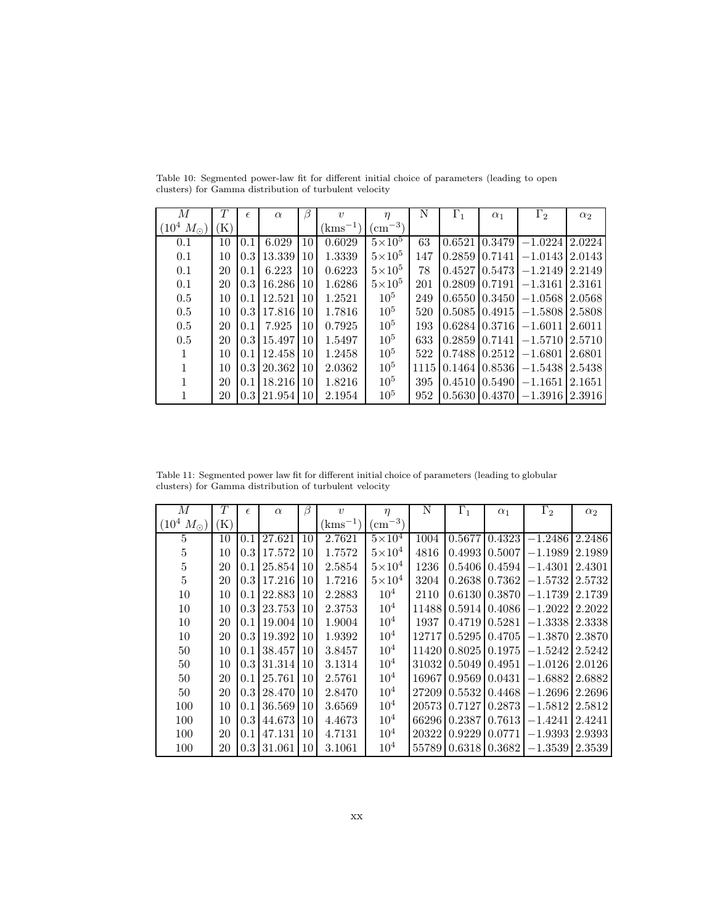| М                  |                      | $\epsilon$       | $\alpha$        | Β  | $\boldsymbol{v}$           |                    | N   | $\Gamma_1$ | $\alpha_1$          | $\Gamma_2$                                 | $\alpha_2$ |
|--------------------|----------------------|------------------|-----------------|----|----------------------------|--------------------|-----|------------|---------------------|--------------------------------------------|------------|
| $(10^4 M_{\odot})$ | $\rm \left(K\right)$ |                  |                 |    | $\text{km}\mathrm{s}^{-1}$ | $\mathrm{cm}^{-3}$ |     |            |                     |                                            |            |
| 0.1                | 10                   | 0.1              | 6.029           | 10 | 0.6029                     | $5\times10^{5}$    | 63  | 0.6521     | 0.3479              | $-1.0224$                                  | 2.0224     |
| 0.1                | 10                   | 0.3              | 13.339          | 10 | 1.3339                     | $5\times10^{5}$    | 147 |            | 0.285910.7141       | $-1.014312.0143$                           |            |
| 0.1                | 20                   | 0.1              | 6.223           | 10 | 0.6223                     | $5\times10^5$      | 78  |            | $0.4527$   $0.5473$ | $-1.2149$                                  | 2.2149     |
| 0.1                | 20                   | 0.3 <sub>1</sub> | 16.286          | 10 | 1.6286                     | $5\times10^5$      | 201 |            | $0.2809$ 0.7191     | $-1.3161$                                  | 2.3161     |
| 0.5                | 10                   |                  | $0.1 \, 12.521$ | 10 | 1.2521                     | $10^5$             | 249 |            |                     | $0.6550$   $0.3450$   $-1.0568$   $2.0568$ |            |
| 0.5                | 10                   |                  | 0.3117.816      | 10 | 1.7816                     | 10 <sup>5</sup>    | 520 |            |                     | $0.508510.49151 - 1.58081$                 | 2.5808     |
| 0.5                | 20                   | 0.1              | 7.925           | 10 | 0.7925                     | 10 <sup>5</sup>    | 193 |            | 0.628410.3716       | $-1.6011$                                  | 2.6011     |
| 0.5                | 20                   |                  | 0.3115.497      | 10 | 1.5497                     | 10 <sup>5</sup>    | 633 |            | 0.285910.7141       | $-1.571012.5710$                           |            |
|                    | 10                   |                  | 0.1112.458      | 10 | 1.2458                     | 10 <sup>5</sup>    | 522 |            | 0.748810.2512       | $-1.6801$                                  | 2.6801     |
|                    | 10                   |                  | 0.3120.362      | 10 | 2.0362                     | 10 <sup>5</sup>    |     |            | 1115 0.1464 0.8536  | $-1.5438$                                  | 2.5438     |
|                    | 20                   | 0.11             | 18.216          | 10 | 1.8216                     | 10 <sup>5</sup>    | 395 |            | $0.4510$   $0.5490$ | $-1.1651$                                  | 2.1651     |
|                    | 20                   |                  | 0.3121.954      | 10 | 2.1954                     | $10^5$             | 952 |            |                     | $0.563010.43701 - 1.391612.3916$           |            |

Table 10: Segmented power-law fit for different initial choice of parameters (leading to open clusters) for Gamma distribution of turbulent velocity

Table 11: Segmented power law fit for different initial choice of parameters (leading to globular clusters) for Gamma distribution of turbulent velocity

| М                      | T   | $\epsilon$       | $\alpha$ | β             | $\eta$       | $\eta$          | N     | $\Gamma_1$      | $\alpha_1$           | $\Gamma_2$ | $\alpha_2$ |
|------------------------|-----|------------------|----------|---------------|--------------|-----------------|-------|-----------------|----------------------|------------|------------|
| $(10^4$<br>$M_{\odot}$ | (K) |                  |          |               | $(kms^{-1})$ | $\rm (cm^{-3})$ |       |                 |                      |            |            |
| 5                      | 10  | 0.1              | 27.621   | 10            | 2.7621       | $5\times10^4$   | 1004  | 0.5677          | 0.4323               | $-1.2486$  | 2.2486     |
| 5                      | 10  | 0.3              | 17.572   | 10            | 1.7572       | $5\times10^4$   | 4816  | 0.49931         | 0.5007               | $-1.1989$  | 2.1989     |
| 5                      | 20  | 0.1              | 25.854   | <sup>10</sup> | 2.5854       | $5\times10^4$   | 1236  |                 | 0.540610.4594        | $-1.4301$  | 2.4301     |
| 5                      | 20  | 0.3 <sub>1</sub> | 17.216   | <sup>10</sup> | 1.7216       | $5\times10^4$   | 3204  |                 | 0.263810.7362        | $-1.5732$  | 2.5732     |
| 10                     | 10  | 0.1              | 22.883   | 10            | 2.2883       | 10 <sup>4</sup> | 2110  |                 | 0.613010.3870        | $-1.1739$  | 2.1739     |
| 10                     | 10  | 0.31             | 23.753   | 10            | 2.3753       | 10 <sup>4</sup> | 11488 | 0.5914          | 0.4086               | $-1.2022$  | 2.2022     |
| 10                     | 20  | 0.1              | 19.004   | 10            | 1.9004       | 10 <sup>4</sup> | 1937  |                 | $0.4719 \mid 0.5281$ | $-1.3338$  | 2.3338     |
| 10                     | 20  | 0.3              | 19.392   | 10            | 1.9392       | 10 <sup>4</sup> | 12717 | 0.5295          | 0.4705               | $-1.3870$  | 2.3870     |
| 50                     | 10  | 0.1              | 38.457   | 10            | 3.8457       | 10 <sup>4</sup> | 11420 |                 | 0.802510.1975        | $-1.5242$  | 2.5242     |
| 50                     | 10  | 0.3              | 31.314   | 10            | 3.1314       | 10 <sup>4</sup> | 31032 | $0.5049$ 0.4951 |                      | $-1.0126$  | 2.0126     |
| 50                     | 20  | 0.1              | 25.761   | 10            | 2.5761       | 10 <sup>4</sup> | 16967 | 0.9569 0.0431   |                      | $-1.6882$  | 2.6882     |
| 50                     | 20  | 0.3              | 28.470   | 10            | 2.8470       | 10 <sup>4</sup> | 27209 | 0.5532          | 0.4468               | $-1.2696$  | 2.2696     |
| 100                    | 10  | 0.1              | 36.569   | 10            | 3.6569       | 10 <sup>4</sup> | 20573 | 0.7127          | 0.2873               | $-1.5812$  | 2.5812     |
| 100                    | 10  | 0.3              | 44.673   | 10            | 4.4673       | 10 <sup>4</sup> | 66296 | 0.2387          | 0.7613               | $-1.4241$  | 2.4241     |
| 100                    | 20  | 0.1              | 47.131   | 10            | 4.7131       | 10 <sup>4</sup> | 20322 | 0.9229          | 0.0771               | $-1.9393$  | 2.9393     |
| 100                    | 20  | 0.3              | 31.061   | 10            | 3.1061       | 10 <sup>4</sup> | 55789 | 0.6318          | 0.3682               | $-1.3539$  | 2.3539     |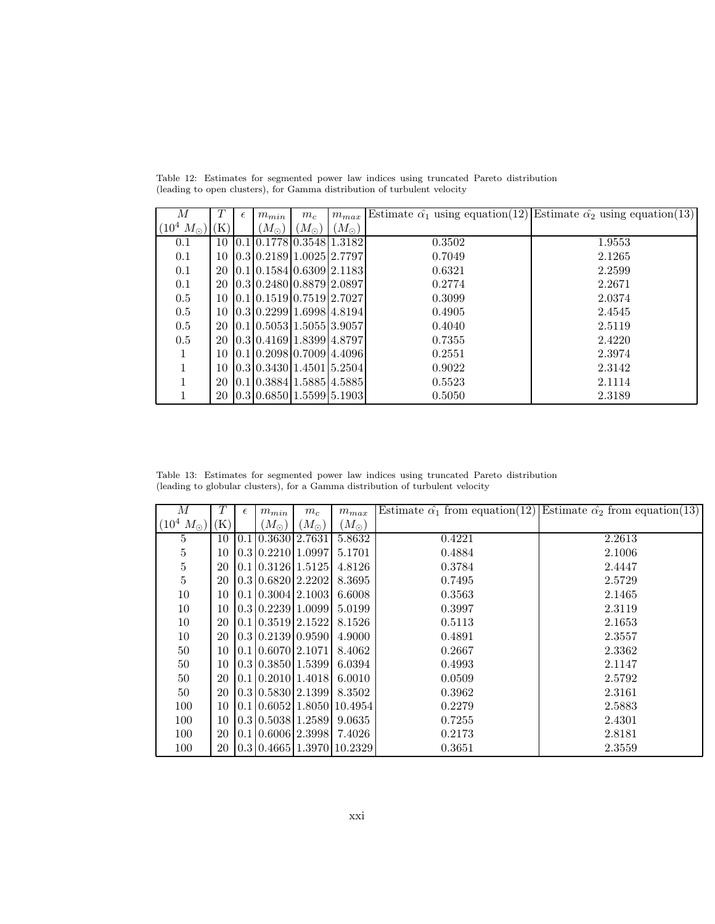| $M_{\rm \odot}$    | T   | $\epsilon$ | $m_{min}$   | $m_c$                                 | $m_{max}$     | Estimate $\hat{\alpha_1}$ using equation(12) | Estimate $\hat{\alpha_2}$ using equation(13) |
|--------------------|-----|------------|-------------|---------------------------------------|---------------|----------------------------------------------|----------------------------------------------|
| $(10^4 M_{\odot})$ | (K) |            | $M_{\odot}$ | $(M_{\odot})$                         | $(M_{\odot})$ |                                              |                                              |
| 0.1                |     |            |             | 10 0.1 0.1778 0.3548 1.3182           |               | 0.3502                                       | 1.9553                                       |
| 0.1                | 10  |            |             | [0.3] 0.2189] 1.0025] 2.7797          |               | 0.7049                                       | 2.1265                                       |
| 0.1                |     |            |             | 20 0.1 0.1584 0.6309 2.1183           |               | 0.6321                                       | 2.2599                                       |
| 0.1                |     |            |             | 20 0.3 0.2480 0.8879 2.0897           |               | 0.2774                                       | 2.2671                                       |
| $0.5\,$            |     |            |             | 10 0.1 0.1519 0.7519 2.7027           |               | 0.3099                                       | 2.0374                                       |
| $0.5\,$            |     |            |             | 10 0.3 0.2299 1.6998 4.8194           |               | 0.4905                                       | 2.4545                                       |
| 0.5                |     |            |             | 20 0.1 0.5053 1.5055 3.9057           |               | 0.4040                                       | 2.5119                                       |
| 0.5                |     |            |             | 20 0.3 0.4169 1.8399 4.8797           |               | 0.7355                                       | 2.4220                                       |
|                    |     |            |             | 10   0.1   0.2098   0.7009   4.4096   |               | 0.2551                                       | 2.3974                                       |
|                    |     |            |             | 10 0.3 0.3430 1.4501 5.2504           |               | 0.9022                                       | 2.3142                                       |
|                    |     |            |             | 20 0.1 0.3884 1.5885 4.5885           |               | 0.5523                                       | 2.1114                                       |
|                    | 20  |            |             | $[0.3 \, 0.6850 \, 1.5599 \, 5.1903]$ |               | 0.5050                                       | 2.3189                                       |

Table 12: Estimates for segmented power law indices using truncated Pareto distribution (leading to open clusters), for Gamma distribution of turbulent velocity

Table 13: Estimates for segmented power law indices using truncated Pareto distribution (leading to globular clusters), for a Gamma distribution of turbulent velocity

| М                     | Т    | $\epsilon$ | $m_{min}$                          | $m_c$         | $\boldsymbol{m}_{max}$                             | Estimate $\hat{\alpha_1}$ from equation(12) | Estimate $\hat{\alpha_2}$ from equation(13) |
|-----------------------|------|------------|------------------------------------|---------------|----------------------------------------------------|---------------------------------------------|---------------------------------------------|
| $(10^4 \; M_{\odot})$ | (K)  |            | $(M_\odot)$                        | $(M_{\odot})$ | $(M_{\odot})$                                      |                                             |                                             |
| 5                     | 10   |            | $0.1 \mid 0.3630 \mid 2.7631$      |               | 5.8632                                             | 0.4221                                      | 2.2613                                      |
| 5                     | 10   |            | $0.3 \mid 0.2210 \mid 1.0997$      |               | 5.1701                                             | 0.4884                                      | 2.1006                                      |
| 5                     | 20   |            | $0.1 \mid 0.3126 \mid 1.5125$      |               | 4.8126                                             | 0.3784                                      | 2.4447                                      |
| 5                     | 20   |            | $0.3 \mid 0.6820 \mid 2.2202 \mid$ |               | 8.3695                                             | 0.7495                                      | 2.5729                                      |
| 10                    | 10 I |            | $0.1 \mid 0.3004 \mid 2.1003 \mid$ |               | 6.6008                                             | 0.3563                                      | 2.1465                                      |
| 10                    |      |            | 10   0.3   0.2239   1.0099         |               | 5.0199                                             | 0.3997                                      | 2.3119                                      |
| 10                    | 20   |            | $0.1 \, 0.3519 \, 2.1522$          |               | 8.1526                                             | 0.5113                                      | 2.1653                                      |
| 10                    |      |            | 20   0.3   0.2139   0.9590         |               | 4.9000                                             | 0.4891                                      | 2.3557                                      |
| 50                    | 10   |            | $0.1 \, 0.6070 \, 2.1071$          |               | 8.4062                                             | 0.2667                                      | 2.3362                                      |
| 50                    | 10   |            | 0.3 0.3850 1.5399                  |               | 6.0394                                             | 0.4993                                      | 2.1147                                      |
| 50                    | 20   |            | $0.1 \mid 0.2010 \mid 1.4018 \mid$ |               | 6.0010                                             | 0.0509                                      | 2.5792                                      |
| 50                    | 20   |            |                                    |               | $\vert 0.3 \vert 0.5830 \vert 2.1399 \vert 8.3502$ | 0.3962                                      | 2.3161                                      |
| 100                   | 10   |            |                                    |               | $0.1 \mid 0.6052 \mid 1.8050 \mid 10.4954$         | 0.2279                                      | 2.5883                                      |
| 100                   | 10   |            | $0.3 \mid 0.5038 \mid 1.2589$      |               | 9.0635                                             | 0.7255                                      | 2.4301                                      |
| 100                   | 20   |            |                                    |               | $0.1 \mid 0.6006 \mid 2.3998 \mid 7.4026$          | 0.2173                                      | 2.8181                                      |
| 100                   | 20   |            |                                    |               | $0.3 \mid 0.4665 \mid 1.3970 \mid 10.2329$         | 0.3651                                      | 2.3559                                      |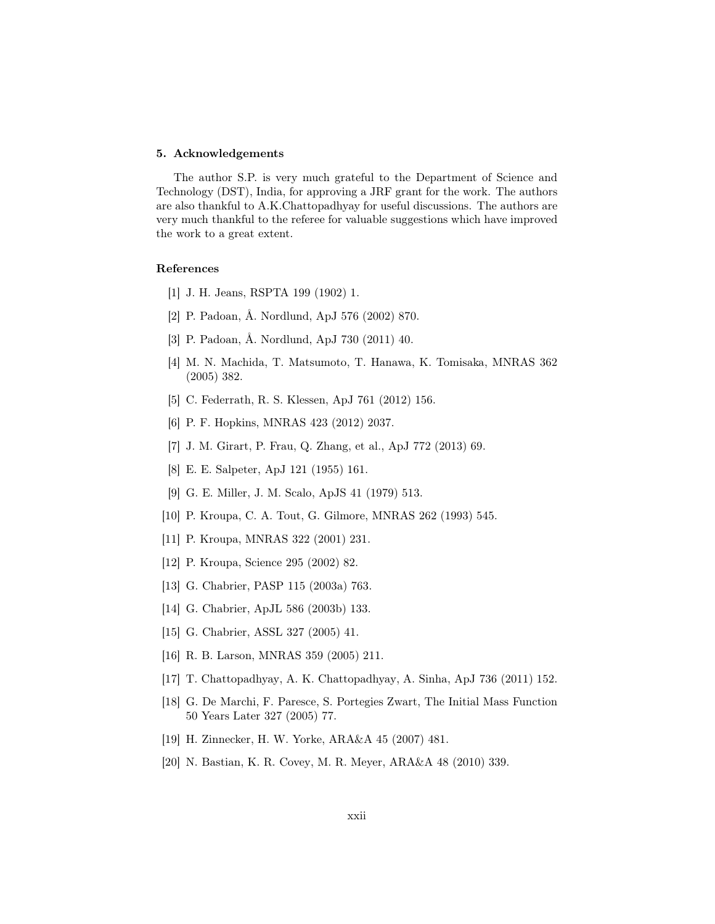#### 5. Acknowledgements

The author S.P. is very much grateful to the Department of Science and Technology (DST), India, for approving a JRF grant for the work. The authors are also thankful to A.K.Chattopadhyay for useful discussions. The authors are very much thankful to the referee for valuable suggestions which have improved the work to a great extent.

## References

- [1] J. H. Jeans, RSPTA 199 (1902) 1.
- [2] P. Padoan, Å. Nordlund, ApJ 576 (2002) 870.
- [3] P. Padoan, Å. Nordlund, ApJ 730 (2011) 40.
- [4] M. N. Machida, T. Matsumoto, T. Hanawa, K. Tomisaka, MNRAS 362 (2005) 382.
- [5] C. Federrath, R. S. Klessen, ApJ 761 (2012) 156.
- [6] P. F. Hopkins, MNRAS 423 (2012) 2037.
- [7] J. M. Girart, P. Frau, Q. Zhang, et al., ApJ 772 (2013) 69.
- [8] E. E. Salpeter, ApJ 121 (1955) 161.
- [9] G. E. Miller, J. M. Scalo, ApJS 41 (1979) 513.
- [10] P. Kroupa, C. A. Tout, G. Gilmore, MNRAS 262 (1993) 545.
- [11] P. Kroupa, MNRAS 322 (2001) 231.
- [12] P. Kroupa, Science 295 (2002) 82.
- [13] G. Chabrier, PASP 115 (2003a) 763.
- [14] G. Chabrier, ApJL 586 (2003b) 133.
- [15] G. Chabrier, ASSL 327 (2005) 41.
- [16] R. B. Larson, MNRAS 359 (2005) 211.
- [17] T. Chattopadhyay, A. K. Chattopadhyay, A. Sinha, ApJ 736 (2011) 152.
- [18] G. De Marchi, F. Paresce, S. Portegies Zwart, The Initial Mass Function 50 Years Later 327 (2005) 77.
- [19] H. Zinnecker, H. W. Yorke, ARA&A 45 (2007) 481.
- [20] N. Bastian, K. R. Covey, M. R. Meyer, ARA&A 48 (2010) 339.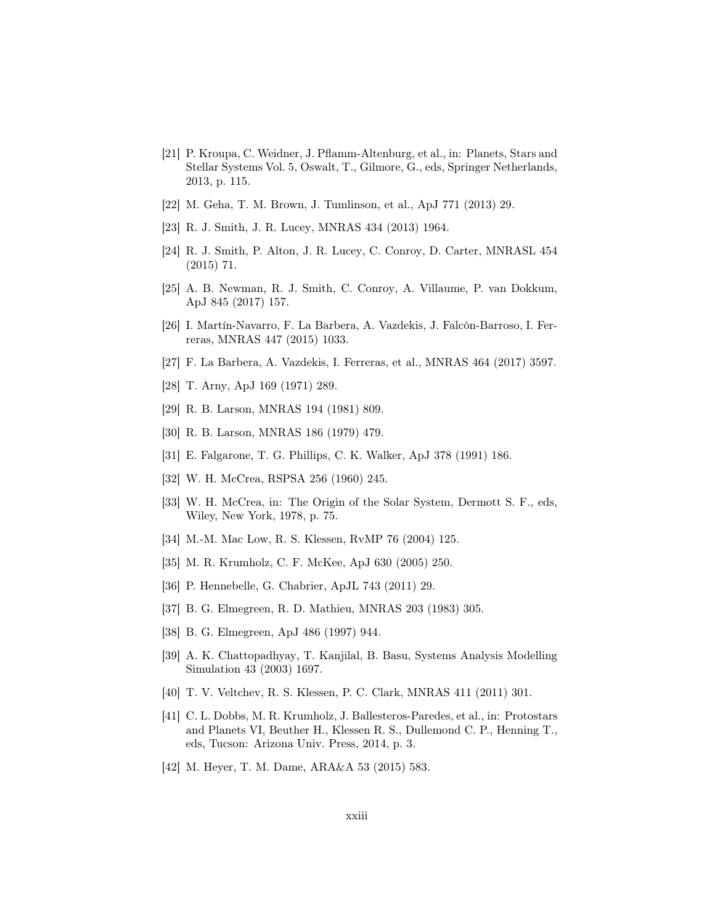- [21] P. Kroupa, C. Weidner, J. Pflamm-Altenburg, et al., in: Planets, Stars and Stellar Systems Vol. 5, Oswalt, T., Gilmore, G., eds, Springer Netherlands, 2013, p. 115.
- [22] M. Geha, T. M. Brown, J. Tumlinson, et al., ApJ 771 (2013) 29.
- [23] R. J. Smith, J. R. Lucey, MNRAS 434 (2013) 1964.
- [24] R. J. Smith, P. Alton, J. R. Lucey, C. Conroy, D. Carter, MNRASL 454 (2015) 71.
- [25] A. B. Newman, R. J. Smith, C. Conroy, A. Villaume, P. van Dokkum, ApJ 845 (2017) 157.
- [26] I. Martín-Navarro, F. La Barbera, A. Vazdekis, J. Falcón-Barroso, I. Ferreras, MNRAS 447 (2015) 1033.
- [27] F. La Barbera, A. Vazdekis, I. Ferreras, et al., MNRAS 464 (2017) 3597.
- [28] T. Arny, ApJ 169 (1971) 289.
- [29] R. B. Larson, MNRAS 194 (1981) 809.
- [30] R. B. Larson, MNRAS 186 (1979) 479.
- [31] E. Falgarone, T. G. Phillips, C. K. Walker, ApJ 378 (1991) 186.
- [32] W. H. McCrea, RSPSA 256 (1960) 245.
- [33] W. H. McCrea, in: The Origin of the Solar System, Dermott S. F., eds, Wiley, New York, 1978, p. 75.
- [34] M.-M. Mac Low, R. S. Klessen, RvMP 76 (2004) 125.
- [35] M. R. Krumholz, C. F. McKee, ApJ 630 (2005) 250.
- [36] P. Hennebelle, G. Chabrier, ApJL 743 (2011) 29.
- [37] B. G. Elmegreen, R. D. Mathieu, MNRAS 203 (1983) 305.
- [38] B. G. Elmegreen, ApJ 486 (1997) 944.
- [39] A. K. Chattopadhyay, T. Kanjilal, B. Basu, Systems Analysis Modelling Simulation 43 (2003) 1697.
- [40] T. V. Veltchev, R. S. Klessen, P. C. Clark, MNRAS 411 (2011) 301.
- [41] C. L. Dobbs, M. R. Krumholz, J. Ballesteros-Paredes, et al., in: Protostars and Planets VI, Beuther H., Klessen R. S., Dullemond C. P., Henning T., eds, Tucson: Arizona Univ. Press, 2014, p. 3.
- [42] M. Heyer, T. M. Dame, ARA&A 53 (2015) 583.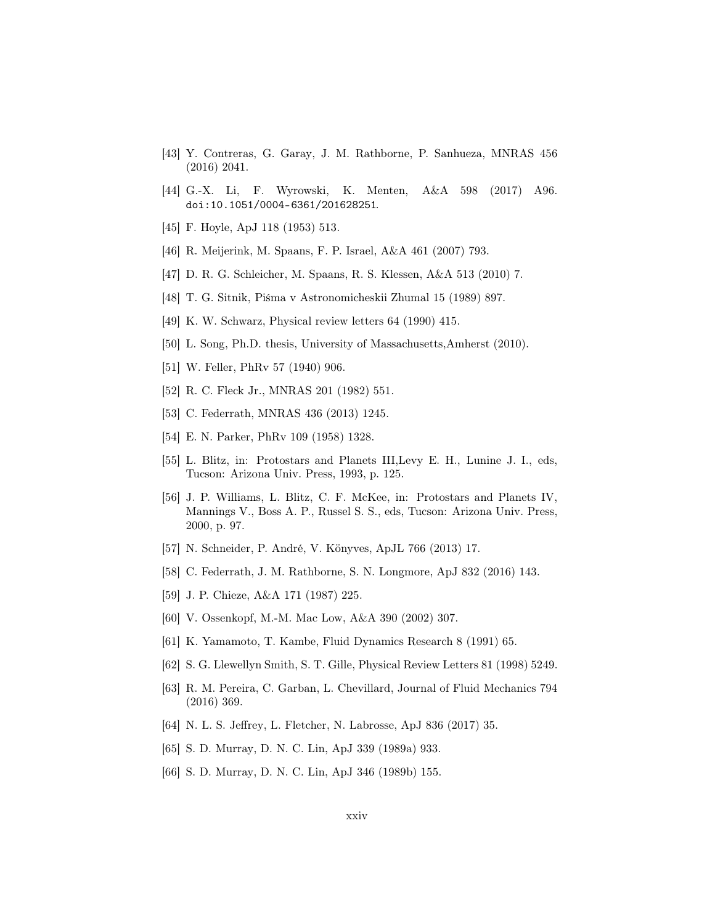- [43] Y. Contreras, G. Garay, J. M. Rathborne, P. Sanhueza, MNRAS 456 (2016) 2041.
- [44] G.-X. Li, F. Wyrowski, K. Menten, A&A 598 (2017) A96. doi:10.1051/0004-6361/201628251.
- [45] F. Hoyle, ApJ 118 (1953) 513.
- [46] R. Meijerink, M. Spaans, F. P. Israel, A&A 461 (2007) 793.
- [47] D. R. G. Schleicher, M. Spaans, R. S. Klessen, A&A 513 (2010) 7.
- [48] T. G. Sitnik, Piśma v Astronomicheskii Zhumal 15 (1989) 897.
- [49] K. W. Schwarz, Physical review letters 64 (1990) 415.
- [50] L. Song, Ph.D. thesis, University of Massachusetts,Amherst (2010).
- [51] W. Feller, PhRv 57 (1940) 906.
- [52] R. C. Fleck Jr., MNRAS 201 (1982) 551.
- [53] C. Federrath, MNRAS 436 (2013) 1245.
- [54] E. N. Parker, PhRv 109 (1958) 1328.
- [55] L. Blitz, in: Protostars and Planets III,Levy E. H., Lunine J. I., eds, Tucson: Arizona Univ. Press, 1993, p. 125.
- [56] J. P. Williams, L. Blitz, C. F. McKee, in: Protostars and Planets IV, Mannings V., Boss A. P., Russel S. S., eds, Tucson: Arizona Univ. Press, 2000, p. 97.
- [57] N. Schneider, P. André, V. Könyves, ApJL 766 (2013) 17.
- [58] C. Federrath, J. M. Rathborne, S. N. Longmore, ApJ 832 (2016) 143.
- [59] J. P. Chieze, A&A 171 (1987) 225.
- [60] V. Ossenkopf, M.-M. Mac Low, A&A 390 (2002) 307.
- [61] K. Yamamoto, T. Kambe, Fluid Dynamics Research 8 (1991) 65.
- [62] S. G. Llewellyn Smith, S. T. Gille, Physical Review Letters 81 (1998) 5249.
- [63] R. M. Pereira, C. Garban, L. Chevillard, Journal of Fluid Mechanics 794 (2016) 369.
- [64] N. L. S. Jeffrey, L. Fletcher, N. Labrosse, ApJ 836 (2017) 35.
- [65] S. D. Murray, D. N. C. Lin, ApJ 339 (1989a) 933.
- [66] S. D. Murray, D. N. C. Lin, ApJ 346 (1989b) 155.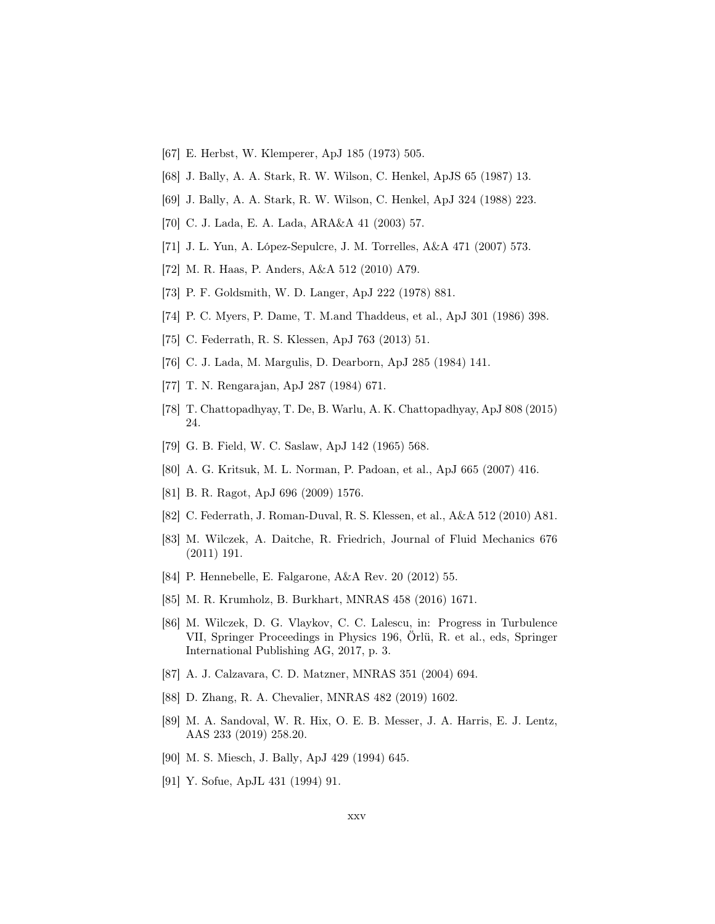- [67] E. Herbst, W. Klemperer, ApJ 185 (1973) 505.
- [68] J. Bally, A. A. Stark, R. W. Wilson, C. Henkel, ApJS 65 (1987) 13.
- [69] J. Bally, A. A. Stark, R. W. Wilson, C. Henkel, ApJ 324 (1988) 223.
- [70] C. J. Lada, E. A. Lada, ARA&A 41 (2003) 57.
- [71] J. L. Yun, A. López-Sepulcre, J. M. Torrelles, A&A 471 (2007) 573.
- [72] M. R. Haas, P. Anders, A&A 512 (2010) A79.
- [73] P. F. Goldsmith, W. D. Langer, ApJ 222 (1978) 881.
- [74] P. C. Myers, P. Dame, T. M.and Thaddeus, et al., ApJ 301 (1986) 398.
- [75] C. Federrath, R. S. Klessen, ApJ 763 (2013) 51.
- [76] C. J. Lada, M. Margulis, D. Dearborn, ApJ 285 (1984) 141.
- [77] T. N. Rengarajan, ApJ 287 (1984) 671.
- [78] T. Chattopadhyay, T. De, B. Warlu, A. K. Chattopadhyay, ApJ 808 (2015) 24.
- [79] G. B. Field, W. C. Saslaw, ApJ 142 (1965) 568.
- [80] A. G. Kritsuk, M. L. Norman, P. Padoan, et al., ApJ 665 (2007) 416.
- [81] B. R. Ragot, ApJ 696 (2009) 1576.
- [82] C. Federrath, J. Roman-Duval, R. S. Klessen, et al., A&A 512 (2010) A81.
- [83] M. Wilczek, A. Daitche, R. Friedrich, Journal of Fluid Mechanics 676 (2011) 191.
- [84] P. Hennebelle, E. Falgarone, A&A Rev. 20 (2012) 55.
- [85] M. R. Krumholz, B. Burkhart, MNRAS 458 (2016) 1671.
- [86] M. Wilczek, D. G. Vlaykov, C. C. Lalescu, in: Progress in Turbulence VII, Springer Proceedings in Physics 196, Örlü, R. et al., eds, Springer International Publishing AG, 2017, p. 3.
- [87] A. J. Calzavara, C. D. Matzner, MNRAS 351 (2004) 694.
- [88] D. Zhang, R. A. Chevalier, MNRAS 482 (2019) 1602.
- [89] M. A. Sandoval, W. R. Hix, O. E. B. Messer, J. A. Harris, E. J. Lentz, AAS 233 (2019) 258.20.
- [90] M. S. Miesch, J. Bally, ApJ 429 (1994) 645.
- [91] Y. Sofue, ApJL 431 (1994) 91.